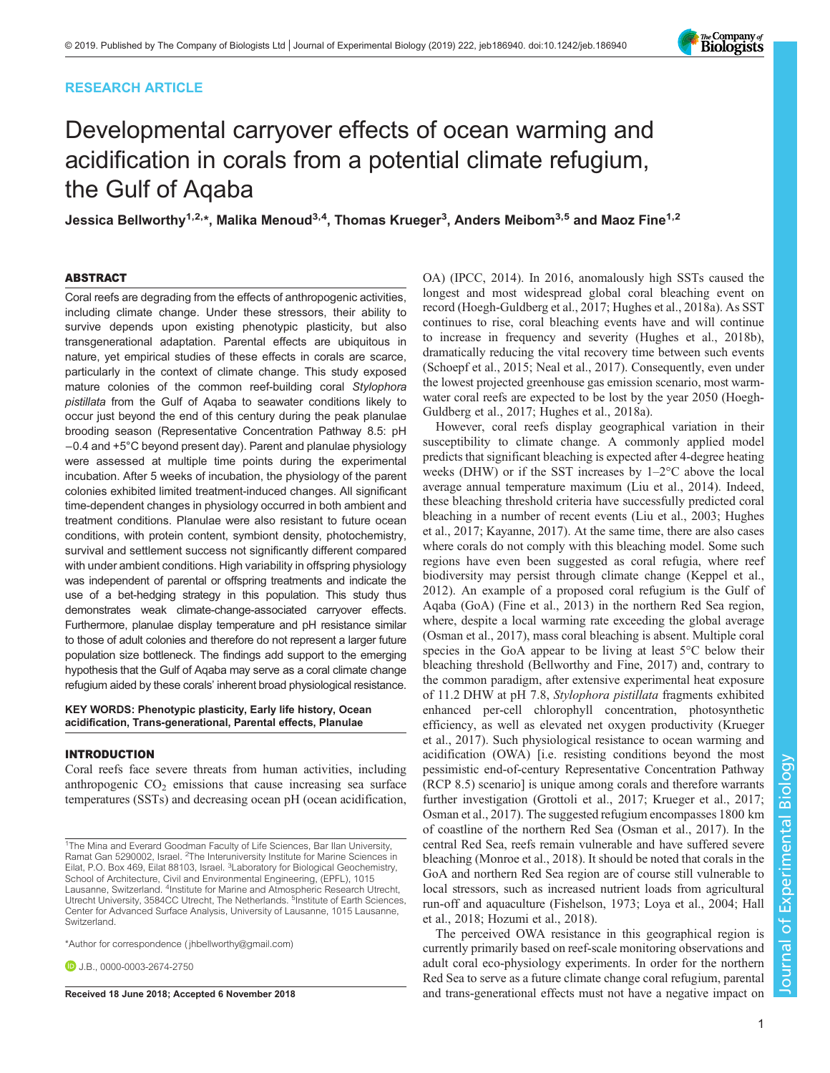# RESEARCH ARTICLE

# Developmental carryover effects of ocean warming and acidification in corals from a potential climate refugium, the Gulf of Aqaba

Jessica Bellworthy $^{\text{1,2,}\star}$ , Malika Menoud $^{\text{3,4}}$ , Thomas Krueger $^{\text{3}}$ , Anders Meibom $^{\text{3,5}}$  and Maoz Fine $^{\text{1,2}}$ 

# ABSTRACT

Coral reefs are degrading from the effects of anthropogenic activities, including climate change. Under these stressors, their ability to survive depends upon existing phenotypic plasticity, but also transgenerational adaptation. Parental effects are ubiquitous in nature, yet empirical studies of these effects in corals are scarce, particularly in the context of climate change. This study exposed mature colonies of the common reef-building coral Stylophora pistillata from the Gulf of Aqaba to seawater conditions likely to occur just beyond the end of this century during the peak planulae brooding season (Representative Concentration Pathway 8.5: pH −0.4 and +5°C beyond present day). Parent and planulae physiology were assessed at multiple time points during the experimental incubation. After 5 weeks of incubation, the physiology of the parent colonies exhibited limited treatment-induced changes. All significant time-dependent changes in physiology occurred in both ambient and treatment conditions. Planulae were also resistant to future ocean conditions, with protein content, symbiont density, photochemistry, survival and settlement success not significantly different compared with under ambient conditions. High variability in offspring physiology was independent of parental or offspring treatments and indicate the use of a bet-hedging strategy in this population. This study thus demonstrates weak climate-change-associated carryover effects. Furthermore, planulae display temperature and pH resistance similar to those of adult colonies and therefore do not represent a larger future population size bottleneck. The findings add support to the emerging hypothesis that the Gulf of Aqaba may serve as a coral climate change refugium aided by these corals' inherent broad physiological resistance.

# KEY WORDS: Phenotypic plasticity, Early life history, Ocean acidification, Trans-generational, Parental effects, Planulae

# INTRODUCTION

Coral reefs face severe threats from human activities, including anthropogenic  $CO<sub>2</sub>$  emissions that cause increasing sea surface temperatures (SSTs) and decreasing ocean pH (ocean acidification,

\*Author for correspondence [\( jhbellworthy@gmail.com](mailto:jhbellworthy@gmail.com))

**D.I.B.**, [0000-0003-2674-2750](http://orcid.org/0000-0003-2674-2750)

OA) [\(IPCC, 2014](#page-10-0)). In 2016, anomalously high SSTs caused the longest and most widespread global coral bleaching event on record ([Hoegh-Guldberg et al., 2017; Hughes et al., 2018a](#page-10-0)). As SST continues to rise, coral bleaching events have and will continue to increase in frequency and severity ([Hughes et al., 2018b\)](#page-10-0), dramatically reducing the vital recovery time between such events [\(Schoepf et al., 2015; Neal et al., 2017\)](#page-11-0). Consequently, even under the lowest projected greenhouse gas emission scenario, most warmwater coral reefs are expected to be lost by the year 2050 ([Hoegh-](#page-10-0)[Guldberg et al., 2017; Hughes et al., 2018a\)](#page-10-0).

However, coral reefs display geographical variation in their susceptibility to climate change. A commonly applied model predicts that significant bleaching is expected after 4-degree heating weeks (DHW) or if the SST increases by 1–2°C above the local average annual temperature maximum ([Liu et al., 2014\)](#page-10-0). Indeed, these bleaching threshold criteria have successfully predicted coral bleaching in a number of recent events [\(Liu et al., 2003](#page-10-0); [Hughes](#page-10-0) [et al., 2017; Kayanne, 2017\)](#page-10-0). At the same time, there are also cases where corals do not comply with this bleaching model. Some such regions have even been suggested as coral refugia, where reef biodiversity may persist through climate change ([Keppel et al.,](#page-10-0) [2012\)](#page-10-0). An example of a proposed coral refugium is the Gulf of Aqaba (GoA) [\(Fine et al., 2013](#page-10-0)) in the northern Red Sea region, where, despite a local warming rate exceeding the global average [\(Osman et al., 2017\)](#page-11-0), mass coral bleaching is absent. Multiple coral species in the GoA appear to be living at least 5<sup>o</sup>C below their bleaching threshold ([Bellworthy and Fine, 2017\)](#page-10-0) and, contrary to the common paradigm, after extensive experimental heat exposure of 11.2 DHW at pH 7.8, Stylophora pistillata fragments exhibited enhanced per-cell chlorophyll concentration, photosynthetic efficiency, as well as elevated net oxygen productivity [\(Krueger](#page-10-0) [et al., 2017](#page-10-0)). Such physiological resistance to ocean warming and acidification (OWA) [i.e. resisting conditions beyond the most pessimistic end-of-century Representative Concentration Pathway (RCP 8.5) scenario] is unique among corals and therefore warrants further investigation ([Grottoli et al., 2017](#page-10-0); [Krueger et al., 2017](#page-10-0); [Osman et al., 2017](#page-11-0)). The suggested refugium encompasses 1800 km of coastline of the northern Red Sea ([Osman et al., 2017\)](#page-11-0). In the central Red Sea, reefs remain vulnerable and have suffered severe bleaching ([Monroe et al., 2018\)](#page-10-0). It should be noted that corals in the GoA and northern Red Sea region are of course still vulnerable to local stressors, such as increased nutrient loads from agricultural run-off and aquaculture ([Fishelson, 1973; Loya et al., 2004; Hall](#page-10-0) [et al., 2018; Hozumi et al., 2018\)](#page-10-0).

The perceived OWA resistance in this geographical region is currently primarily based on reef-scale monitoring observations and adult coral eco-physiology experiments. In order for the northern Red Sea to serve as a future climate change coral refugium, parental Received 18 June 2018; Accepted 6 November 2018 **and trans-generational effects must not have a negative impact on** 



<sup>&</sup>lt;sup>1</sup>The Mina and Everard Goodman Faculty of Life Sciences, Bar Ilan University,<br>Ramat Gan 5290002, Israel. <sup>2</sup>The Interuniversity Institute for Marine Sciences in Eilat, P.O. Box 469, Eilat 88103, Israel. <sup>3</sup>Laboratory for Biological Geochemistry, School of Architecture, Civil and Environmental Engineering, (EPFL), 1015 Lausanne, Switzerland. <sup>4</sup>Institute for Marine and Atmospheric Research Utrecht, Utrecht University, 3584CC Utrecht, The Netherlands. <sup>5</sup>Institute of Earth Sciences, Center for Advanced Surface Analysis, University of Lausanne, 1015 Lausanne, Switzerland.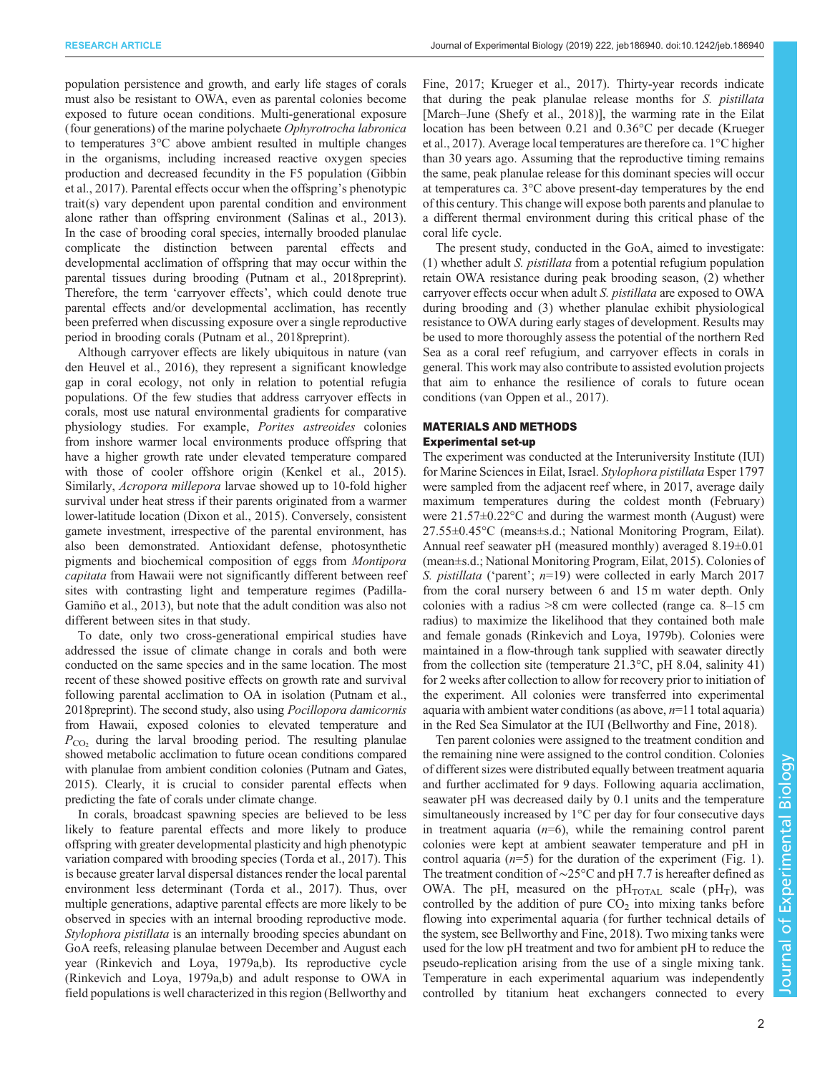population persistence and growth, and early life stages of corals must also be resistant to OWA, even as parental colonies become exposed to future ocean conditions. Multi-generational exposure (four generations) of the marine polychaete Ophyrotrocha labronica to temperatures 3°C above ambient resulted in multiple changes in the organisms, including increased reactive oxygen species production and decreased fecundity in the F5 population ([Gibbin](#page-10-0) [et al., 2017](#page-10-0)). Parental effects occur when the offspring's phenotypic trait(s) vary dependent upon parental condition and environment alone rather than offspring environment ([Salinas et al., 2013\)](#page-11-0). In the case of brooding coral species, internally brooded planulae complicate the distinction between parental effects and developmental acclimation of offspring that may occur within the parental tissues during brooding [\(Putnam et al., 2018preprint\)](#page-11-0). Therefore, the term 'carryover effects', which could denote true parental effects and/or developmental acclimation, has recently been preferred when discussing exposure over a single reproductive period in brooding corals [\(Putnam et al., 2018preprint\)](#page-11-0).

Although carryover effects are likely ubiquitous in nature [\(van](#page-11-0) [den Heuvel et al., 2016\)](#page-11-0), they represent a significant knowledge gap in coral ecology, not only in relation to potential refugia populations. Of the few studies that address carryover effects in corals, most use natural environmental gradients for comparative physiology studies. For example, Porites astreoides colonies from inshore warmer local environments produce offspring that have a higher growth rate under elevated temperature compared with those of cooler offshore origin ([Kenkel et al., 2015\)](#page-10-0). Similarly, Acropora millepora larvae showed up to 10-fold higher survival under heat stress if their parents originated from a warmer lower-latitude location [\(Dixon et al., 2015](#page-10-0)). Conversely, consistent gamete investment, irrespective of the parental environment, has also been demonstrated. Antioxidant defense, photosynthetic pigments and biochemical composition of eggs from Montipora capitata from Hawaii were not significantly different between reef sites with contrasting light and temperature regimes [\(Padilla-](#page-11-0)[Gamiño et al., 2013\)](#page-11-0), but note that the adult condition was also not different between sites in that study.

To date, only two cross-generational empirical studies have addressed the issue of climate change in corals and both were conducted on the same species and in the same location. The most recent of these showed positive effects on growth rate and survival following parental acclimation to OA in isolation ([Putnam et al.,](#page-11-0) [2018preprint\)](#page-11-0). The second study, also using Pocillopora damicornis from Hawaii, exposed colonies to elevated temperature and  $P_{\rm CO_2}$  during the larval brooding period. The resulting planulae showed metabolic acclimation to future ocean conditions compared with planulae from ambient condition colonies [\(Putnam and Gates,](#page-11-0) [2015\)](#page-11-0). Clearly, it is crucial to consider parental effects when predicting the fate of corals under climate change.

In corals, broadcast spawning species are believed to be less likely to feature parental effects and more likely to produce offspring with greater developmental plasticity and high phenotypic variation compared with brooding species ([Torda et al., 2017\)](#page-11-0). This is because greater larval dispersal distances render the local parental environment less determinant ([Torda et al., 2017](#page-11-0)). Thus, over multiple generations, adaptive parental effects are more likely to be observed in species with an internal brooding reproductive mode. Stylophora pistillata is an internally brooding species abundant on GoA reefs, releasing planulae between December and August each year ([Rinkevich and Loya, 1979a,b](#page-11-0)). Its reproductive cycle [\(Rinkevich and Loya, 1979a,b\)](#page-11-0) and adult response to OWA in field populations is well characterized in this region [\(Bellworthy and](#page-10-0)

[Fine, 2017; Krueger et al., 2017\)](#page-10-0). Thirty-year records indicate that during the peak planulae release months for S. pistillata [March–June [\(Shefy et al., 2018\)](#page-11-0)], the warming rate in the Eilat location has been between 0.21 and 0.36°C per decade [\(Krueger](#page-10-0) [et al., 2017\)](#page-10-0). Average local temperatures are therefore ca. 1°C higher than 30 years ago. Assuming that the reproductive timing remains the same, peak planulae release for this dominant species will occur at temperatures ca. 3°C above present-day temperatures by the end of this century. This change will expose both parents and planulae to a different thermal environment during this critical phase of the coral life cycle.

The present study, conducted in the GoA, aimed to investigate: (1) whether adult S. pistillata from a potential refugium population retain OWA resistance during peak brooding season, (2) whether carryover effects occur when adult S. pistillata are exposed to OWA during brooding and (3) whether planulae exhibit physiological resistance to OWA during early stages of development. Results may be used to more thoroughly assess the potential of the northern Red Sea as a coral reef refugium, and carryover effects in corals in general. This work may also contribute to assisted evolution projects that aim to enhance the resilience of corals to future ocean conditions [\(van Oppen et al., 2017\)](#page-11-0).

# MATERIALS AND METHODS Experimental set-up

The experiment was conducted at the Interuniversity Institute (IUI) for Marine Sciences in Eilat, Israel. Stylophora pistillata Esper 1797 were sampled from the adjacent reef where, in 2017, average daily maximum temperatures during the coldest month (February) were 21.57±0.22°C and during the warmest month (August) were 27.55±0.45°C (means±s.d.; National Monitoring Program, Eilat). Annual reef seawater pH (measured monthly) averaged 8.19±0.01 (mean±s.d.; National Monitoring Program, Eilat, 2015). Colonies of S. *pistillata* ('parent';  $n=19$ ) were collected in early March 2017 from the coral nursery between 6 and 15 m water depth. Only colonies with a radius >8 cm were collected (range ca. 8–15 cm radius) to maximize the likelihood that they contained both male and female gonads ([Rinkevich and Loya, 1979b](#page-11-0)). Colonies were maintained in a flow-through tank supplied with seawater directly from the collection site (temperature  $21.3^{\circ}$ C, pH 8.04, salinity 41) for 2 weeks after collection to allow for recovery prior to initiation of the experiment. All colonies were transferred into experimental aquaria with ambient water conditions (as above,  $n=11$  total aquaria) in the Red Sea Simulator at the IUI ([Bellworthy and Fine, 2018\)](#page-10-0).

Ten parent colonies were assigned to the treatment condition and the remaining nine were assigned to the control condition. Colonies of different sizes were distributed equally between treatment aquaria and further acclimated for 9 days. Following aquaria acclimation, seawater pH was decreased daily by 0.1 units and the temperature simultaneously increased by 1°C per day for four consecutive days in treatment aquaria  $(n=6)$ , while the remaining control parent colonies were kept at ambient seawater temperature and pH in control aquaria  $(n=5)$  for the duration of the experiment ([Fig. 1\)](#page-2-0). The treatment condition of ∼25°C and pH 7.7 is hereafter defined as OWA. The pH, measured on the  $pH_{\text{TOTAL}}$  scale ( $pH_T$ ), was controlled by the addition of pure  $CO<sub>2</sub>$  into mixing tanks before flowing into experimental aquaria (for further technical details of the system, see [Bellworthy and Fine, 2018](#page-10-0)). Two mixing tanks were used for the low pH treatment and two for ambient pH to reduce the pseudo-replication arising from the use of a single mixing tank. Temperature in each experimental aquarium was independently controlled by titanium heat exchangers connected to every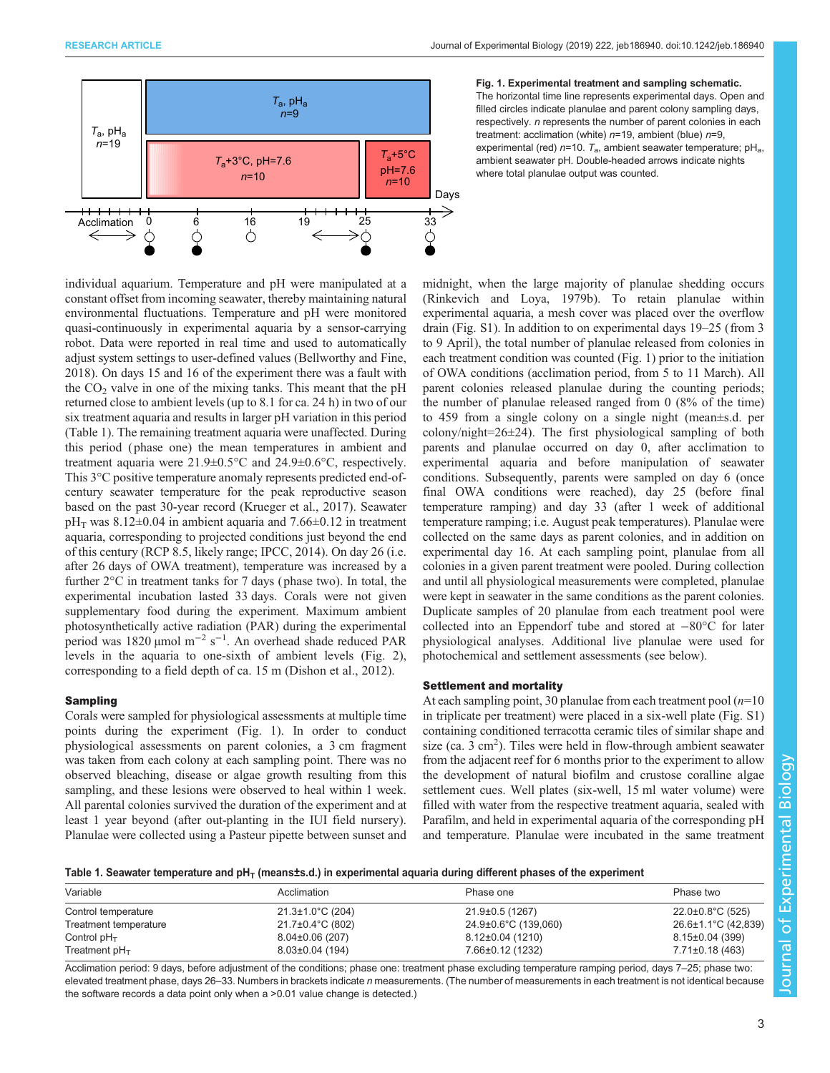<span id="page-2-0"></span>

individual aquarium. Temperature and pH were manipulated at a constant offset from incoming seawater, thereby maintaining natural environmental fluctuations. Temperature and pH were monitored quasi-continuously in experimental aquaria by a sensor-carrying robot. Data were reported in real time and used to automatically adjust system settings to user-defined values [\(Bellworthy and Fine,](#page-10-0) [2018](#page-10-0)). On days 15 and 16 of the experiment there was a fault with the  $CO<sub>2</sub>$  valve in one of the mixing tanks. This meant that the pH returned close to ambient levels (up to 8.1 for ca. 24 h) in two of our six treatment aquaria and results in larger pH variation in this period (Table 1). The remaining treatment aquaria were unaffected. During this period ( phase one) the mean temperatures in ambient and treatment aquaria were 21.9±0.5°C and 24.9±0.6°C, respectively. This 3°C positive temperature anomaly represents predicted end-ofcentury seawater temperature for the peak reproductive season based on the past 30-year record [\(Krueger et al., 2017\)](#page-10-0). Seawater  $pH<sub>T</sub>$  was 8.12±0.04 in ambient aquaria and 7.66±0.12 in treatment aquaria, corresponding to projected conditions just beyond the end of this century (RCP 8.5, likely range; [IPCC, 2014\)](#page-10-0). On day 26 (i.e. after 26 days of OWA treatment), temperature was increased by a further 2°C in treatment tanks for 7 days ( phase two). In total, the experimental incubation lasted 33 days. Corals were not given supplementary food during the experiment. Maximum ambient photosynthetically active radiation (PAR) during the experimental period was 1820 µmol m−<sup>2</sup> s−<sup>1</sup> . An overhead shade reduced PAR levels in the aquaria to one-sixth of ambient levels [\(Fig. 2\)](#page-3-0), corresponding to a field depth of ca. 15 m [\(Dishon et al., 2012\)](#page-10-0).

# Sampling

Corals were sampled for physiological assessments at multiple time points during the experiment (Fig. 1). In order to conduct physiological assessments on parent colonies, a 3 cm fragment was taken from each colony at each sampling point. There was no observed bleaching, disease or algae growth resulting from this sampling, and these lesions were observed to heal within 1 week. All parental colonies survived the duration of the experiment and at least 1 year beyond (after out-planting in the IUI field nursery). Planulae were collected using a Pasteur pipette between sunset and

# Fig. 1. Experimental treatment and sampling schematic.

The horizontal time line represents experimental days. Open and filled circles indicate planulae and parent colony sampling days, respectively. *n* represents the number of parent colonies in each treatment: acclimation (white)  $n=19$ , ambient (blue)  $n=9$ , experimental (red)  $n=10$ .  $T_a$ , ambient seawater temperature; pH<sub>a</sub>, ambient seawater pH. Double-headed arrows indicate nights where total planulae output was counted.

midnight, when the large majority of planulae shedding occurs [\(Rinkevich and Loya, 1979b\)](#page-11-0). To retain planulae within experimental aquaria, a mesh cover was placed over the overflow drain ([Fig. S1](http://jeb.biologists.org/lookup/doi/10.1242/jeb.186940.supplemental)). In addition to on experimental days 19–25 (from 3 to 9 April), the total number of planulae released from colonies in each treatment condition was counted (Fig. 1) prior to the initiation of OWA conditions (acclimation period, from 5 to 11 March). All parent colonies released planulae during the counting periods; the number of planulae released ranged from 0 (8% of the time) to 459 from a single colony on a single night (mean±s.d. per colony/night=26±24). The first physiological sampling of both parents and planulae occurred on day 0, after acclimation to experimental aquaria and before manipulation of seawater conditions. Subsequently, parents were sampled on day 6 (once final OWA conditions were reached), day 25 (before final temperature ramping) and day 33 (after 1 week of additional temperature ramping; i.e. August peak temperatures). Planulae were collected on the same days as parent colonies, and in addition on experimental day 16. At each sampling point, planulae from all colonies in a given parent treatment were pooled. During collection and until all physiological measurements were completed, planulae were kept in seawater in the same conditions as the parent colonies. Duplicate samples of 20 planulae from each treatment pool were collected into an Eppendorf tube and stored at −80°C for later physiological analyses. Additional live planulae were used for photochemical and settlement assessments (see below).

# Settlement and mortality

At each sampling point, 30 planulae from each treatment pool  $(n=10)$ in triplicate per treatment) were placed in a six-well plate [\(Fig. S1\)](http://jeb.biologists.org/lookup/doi/10.1242/jeb.186940.supplemental) containing conditioned terracotta ceramic tiles of similar shape and size (ca.  $3 \text{ cm}^2$ ). Tiles were held in flow-through ambient seawater from the adjacent reef for 6 months prior to the experiment to allow the development of natural biofilm and crustose coralline algae settlement cues. Well plates (six-well, 15 ml water volume) were filled with water from the respective treatment aquaria, sealed with Parafilm, and held in experimental aquaria of the corresponding pH and temperature. Planulae were incubated in the same treatment

Table 1. Seawater temperature and  $pH<sub>T</sub>$  (meansts.d.) in experimental aquaria during different phases of the experiment

| Variable              | Acclimation                    | Phase one            | Phase two                      |
|-----------------------|--------------------------------|----------------------|--------------------------------|
| Control temperature   | $21.3 \pm 1.0^{\circ}$ C (204) | 21.9±0.5 (1267)      | $22.0 \pm 0.8^{\circ}$ C (525) |
| Treatment temperature | $21.7\pm0.4\degree C$ (802)    | 24.9±0.6°C (139,060) | 26.6±1.1°C (42,839)            |
| Control $pH_T$        | $8.04\pm0.06(207)$             | 8.12±0.04 (1210)     | $8.15 \pm 0.04$ (399)          |
| Treatment $pH_T$      | $8.03 \pm 0.04$ (194)          | 7.66±0.12 (1232)     | 7.71±0.18 (463)                |

Acclimation period: 9 days, before adjustment of the conditions; phase one: treatment phase excluding temperature ramping period, days 7-25; phase two: elevated treatment phase, days 26–33. Numbers in brackets indicate n measurements. (The number of measurements in each treatment is not identical because the software records a data point only when a >0.01 value change is detected.)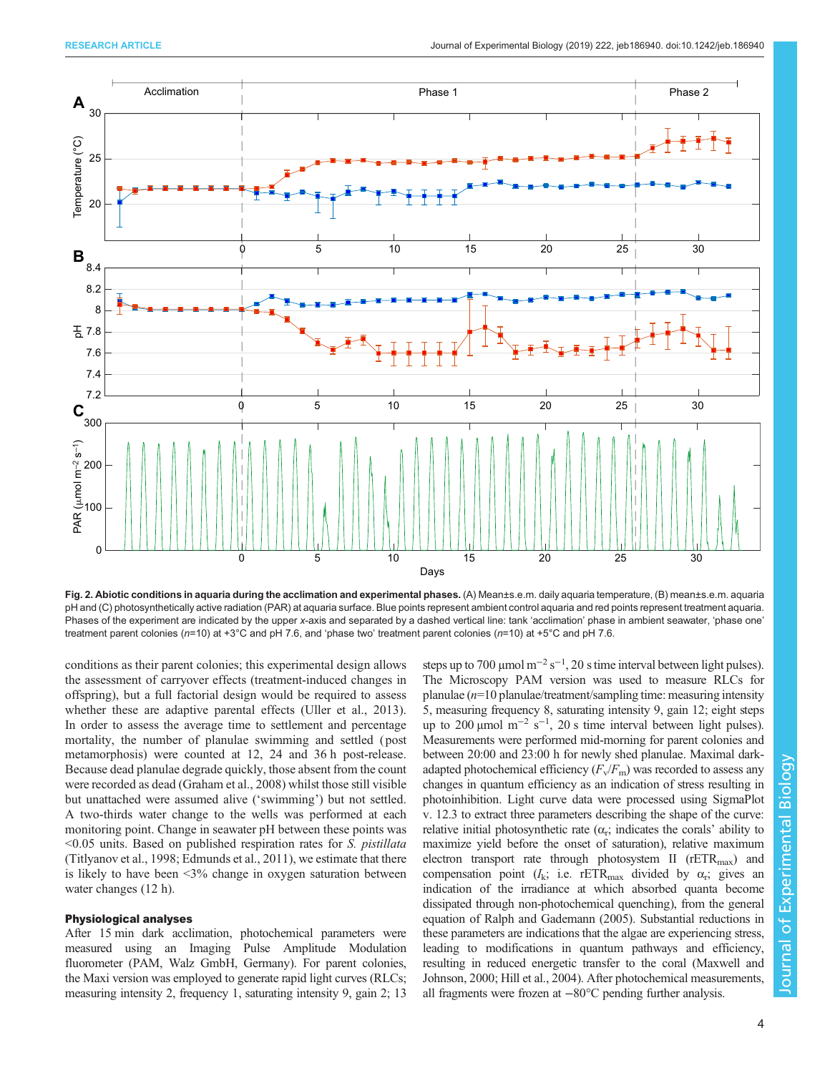<span id="page-3-0"></span>

Fig. 2. Abiotic conditions in aquaria during the acclimation and experimental phases. (A) Mean±s.e.m. daily aquaria temperature, (B) mean±s.e.m. aquaria pH and (C) photosynthetically active radiation (PAR) at aquaria surface. Blue points represent ambient control aquaria and red points represent treatment aquaria. Phases of the experiment are indicated by the upper x-axis and separated by a dashed vertical line: tank 'acclimation' phase in ambient seawater, 'phase one' treatment parent colonies (n=10) at +3°C and pH 7.6, and 'phase two' treatment parent colonies (n=10) at +5°C and pH 7.6.

conditions as their parent colonies; this experimental design allows the assessment of carryover effects (treatment-induced changes in offspring), but a full factorial design would be required to assess whether these are adaptive parental effects [\(Uller et al., 2013\)](#page-11-0). In order to assess the average time to settlement and percentage mortality, the number of planulae swimming and settled ( post metamorphosis) were counted at 12, 24 and 36 h post-release. Because dead planulae degrade quickly, those absent from the count were recorded as dead ([Graham et al., 2008\)](#page-10-0) whilst those still visible but unattached were assumed alive ('swimming') but not settled. A two-thirds water change to the wells was performed at each monitoring point. Change in seawater pH between these points was <0.05 units. Based on published respiration rates for S. pistillata [\(Titlyanov et al., 1998;](#page-11-0) [Edmunds et al., 2011](#page-10-0)), we estimate that there is likely to have been <3% change in oxygen saturation between water changes (12 h).

# Physiological analyses

After 15 min dark acclimation, photochemical parameters were measured using an Imaging Pulse Amplitude Modulation fluorometer (PAM, Walz GmbH, Germany). For parent colonies, the Maxi version was employed to generate rapid light curves (RLCs; measuring intensity 2, frequency 1, saturating intensity 9, gain 2; 13

steps up to 700 µmol  $m^{-2} s^{-1}$ , 20 s time interval between light pulses). The Microscopy PAM version was used to measure RLCs for planulae  $(n=10)$  planulae/treatment/sampling time: measuring intensity 5, measuring frequency 8, saturating intensity 9, gain 12; eight steps up to 200 µmol  $m^{-2}$  s<sup>-1</sup>, 20 s time interval between light pulses). Measurements were performed mid-morning for parent colonies and between 20:00 and 23:00 h for newly shed planulae. Maximal darkadapted photochemical efficiency  $(F_v/F_m)$  was recorded to assess any changes in quantum efficiency as an indication of stress resulting in photoinhibition. Light curve data were processed using SigmaPlot v. 12.3 to extract three parameters describing the shape of the curve: relative initial photosynthetic rate  $(\alpha_r;$  indicates the corals' ability to maximize yield before the onset of saturation), relative maximum electron transport rate through photosystem II ( $rETR<sub>max</sub>$ ) and compensation point ( $I_k$ ; i.e. rETR<sub>max</sub> divided by  $\alpha_r$ ; gives an indication of the irradiance at which absorbed quanta become dissipated through non-photochemical quenching), from the general equation of [Ralph and Gademann \(2005\).](#page-11-0) Substantial reductions in these parameters are indications that the algae are experiencing stress, leading to modifications in quantum pathways and efficiency, resulting in reduced energetic transfer to the coral ([Maxwell and](#page-10-0) [Johnson, 2000](#page-10-0); [Hill et al., 2004\)](#page-10-0). After photochemical measurements, all fragments were frozen at −80°C pending further analysis.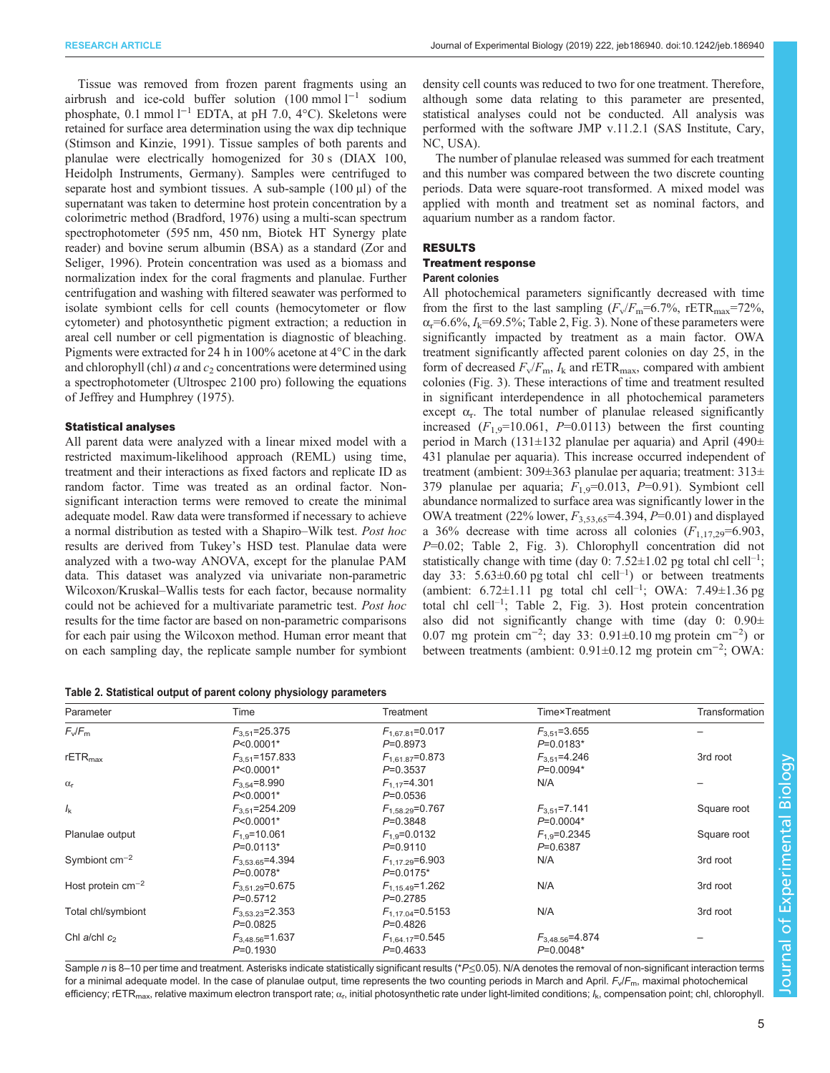Tissue was removed from frozen parent fragments using an airbrush and ice-cold buffer solution  $(100 \text{ mmol } l^{-1}$  sodium phosphate, 0.1 mmol  $l^{-1}$  EDTA, at pH 7.0, 4°C). Skeletons were retained for surface area determination using the wax dip technique [\(Stimson and Kinzie, 1991\)](#page-11-0). Tissue samples of both parents and planulae were electrically homogenized for 30 s (DIAX 100, Heidolph Instruments, Germany). Samples were centrifuged to separate host and symbiont tissues. A sub-sample  $(100 \mu l)$  of the supernatant was taken to determine host protein concentration by a colorimetric method [\(Bradford, 1976\)](#page-10-0) using a multi-scan spectrum spectrophotometer (595 nm, 450 nm, Biotek HT Synergy plate reader) and bovine serum albumin (BSA) as a standard ([Zor and](#page-11-0) [Seliger, 1996\)](#page-11-0). Protein concentration was used as a biomass and normalization index for the coral fragments and planulae. Further centrifugation and washing with filtered seawater was performed to isolate symbiont cells for cell counts (hemocytometer or flow cytometer) and photosynthetic pigment extraction; a reduction in areal cell number or cell pigmentation is diagnostic of bleaching. Pigments were extracted for 24 h in 100% acetone at 4°C in the dark and chlorophyll (chl)  $a$  and  $c_2$  concentrations were determined using a spectrophotometer (Ultrospec 2100 pro) following the equations of [Jeffrey and Humphrey \(1975\).](#page-10-0)

# Statistical analyses

All parent data were analyzed with a linear mixed model with a restricted maximum-likelihood approach (REML) using time, treatment and their interactions as fixed factors and replicate ID as random factor. Time was treated as an ordinal factor. Nonsignificant interaction terms were removed to create the minimal adequate model. Raw data were transformed if necessary to achieve a normal distribution as tested with a Shapiro–Wilk test. Post hoc results are derived from Tukey's HSD test. Planulae data were analyzed with a two-way ANOVA, except for the planulae PAM data. This dataset was analyzed via univariate non-parametric Wilcoxon/Kruskal–Wallis tests for each factor, because normality could not be achieved for a multivariate parametric test. Post hoc results for the time factor are based on non-parametric comparisons for each pair using the Wilcoxon method. Human error meant that on each sampling day, the replicate sample number for symbiont

Table 2. Statistical output of parent colony physiology parameters

density cell counts was reduced to two for one treatment. Therefore, although some data relating to this parameter are presented, statistical analyses could not be conducted. All analysis was performed with the software JMP v.11.2.1 (SAS Institute, Cary, NC, USA).

The number of planulae released was summed for each treatment and this number was compared between the two discrete counting periods. Data were square-root transformed. A mixed model was applied with month and treatment set as nominal factors, and aquarium number as a random factor.

# RESULTS

# Treatment response

# Parent colonies

All photochemical parameters significantly decreased with time from the first to the last sampling  $(F_v/F_m=6.7\%$ , rETR<sub>max</sub>=72%,  $\alpha_r$ =6.6%,  $I_k$ =69.5%; Table 2, [Fig. 3](#page-5-0)). None of these parameters were significantly impacted by treatment as a main factor. OWA treatment significantly affected parent colonies on day 25, in the form of decreased  $F_v/F_m$ ,  $I_k$  and rETR<sub>max</sub>, compared with ambient colonies [\(Fig. 3\)](#page-5-0). These interactions of time and treatment resulted in significant interdependence in all photochemical parameters except  $\alpha_r$ . The total number of planulae released significantly increased  $(F_{1,9}=10.061, P=0.0113)$  between the first counting period in March (131±132 planulae per aquaria) and April (490± 431 planulae per aquaria). This increase occurred independent of treatment (ambient: 309±363 planulae per aquaria; treatment: 313± 379 planulae per aquaria;  $F_{1,9}$ =0.013, P=0.91). Symbiont cell abundance normalized to surface area was significantly lower in the OWA treatment (22% lower,  $F_{3,53,65}$ =4.394, P=0.01) and displayed a 36% decrease with time across all colonies  $(F_{1,17,29}=6.903)$ ,  $P=0.02$ ; Table 2, [Fig. 3](#page-5-0)). Chlorophyll concentration did not statistically change with time (day 0:  $7.52 \pm 1.02$  pg total chl cell<sup>-1</sup>; day 33:  $5.63 \pm 0.60$  pg total chl cell<sup>-1</sup>) or between treatments (ambient:  $6.72 \pm 1.11$  pg total chl cell<sup>-1</sup>; OWA:  $7.49 \pm 1.36$  pg total chl cell–<sup>1</sup> ; Table 2, [Fig. 3](#page-5-0)). Host protein concentration also did not significantly change with time (day  $0: 0.90 \pm$ 0.07 mg protein cm−<sup>2</sup> ; day 33: 0.91±0.10 mg protein cm−<sup>2</sup> ) or between treatments (ambient: 0.91±0.12 mg protein cm−<sup>2</sup> ; OWA:

| Parameter              | Time                                 | Treatment                             | <b>Time</b> <sup>x</sup> Treatment   | Transformation |
|------------------------|--------------------------------------|---------------------------------------|--------------------------------------|----------------|
| $F_v/F_m$              | $F_{3.51}$ =25.375<br>$P<0.0001*$    | $F_{1.67.81} = 0.017$<br>$P=0.8973$   | $F_{3.51} = 3.655$<br>$P=0.0183*$    |                |
| $rETR_{max}$           | $F_{3.51}$ =157.833<br>$P<0.0001*$   | $F_{1.61.87} = 0.873$<br>$P = 0.3537$ | $F_{3,51}$ =4.246<br>$P=0.0094*$     | 3rd root       |
| $\alpha_{r}$           | $F_{3.54} = 8.990$<br>$P<0.0001*$    | $F_{1.17} = 4.301$<br>$P=0.0536$      | N/A                                  |                |
| $I_{\rm k}$            | $F_{3.51}$ =254.209<br>$P<0.0001*$   | $F_{1,58.29} = 0.767$<br>$P = 0.3848$ | $F_{3.51} = 7.141$<br>$P=0.0004*$    | Square root    |
| Planulae output        | $F_{1.9} = 10.061$<br>$P=0.0113*$    | $F_{1.9} = 0.0132$<br>$P=0.9110$      | $F_{1,9} = 0.2345$<br>$P = 0.6387$   | Square root    |
| Symbiont $cm^{-2}$     | $F_{3.53.65} = 4.394$<br>$P=0.0078*$ | $F_{1.17,29} = 6.903$<br>$P=0.0175*$  | N/A                                  | 3rd root       |
| Host protein $cm^{-2}$ | $F_{3.51.29} = 0.675$<br>$P=0.5712$  | $F_{1,15,49} = 1.262$<br>$P=0.2785$   | N/A                                  | 3rd root       |
| Total chl/symbiont     | $F_{3.53.23}$ =2.353<br>$P=0.0825$   | $F_{1,17.04} = 0.5153$<br>$P=0.4826$  | N/A                                  | 3rd root       |
| Chl a/chl $c_2$        | $F_{3.48.56} = 1.637$<br>$P=0.1930$  | $F_{1,64.17}=0.545$<br>$P=0.4633$     | $F_{3,48.56} = 4.874$<br>$P=0.0048*$ |                |

Sample n is 8-10 per time and treatment. Asterisks indicate statistically significant results (\*P≤0.05). N/A denotes the removal of non-significant interaction terms for a minimal adequate model. In the case of planulae output, time represents the two counting periods in March and April.  $F_v/F_m$ , maximal photochemical efficiency; rETR<sub>max</sub>, relative maximum electron transport rate;  $\alpha_r$ , initial photosynthetic rate under light-limited conditions;  $l_k$ , compensation point; chl, chlorophyll.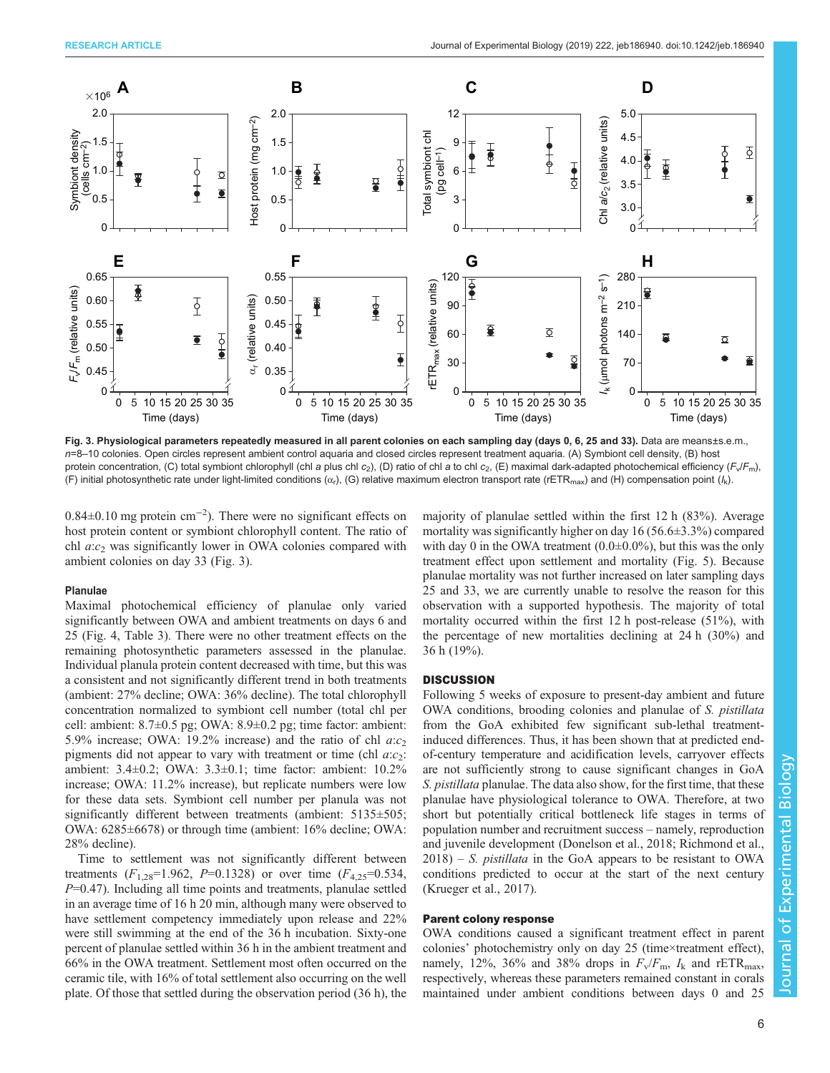<span id="page-5-0"></span>

Fig. 3. Physiological parameters repeatedly measured in all parent colonies on each sampling day (days 0, 6, 25 and 33). Data are means±s.e.m., n=8-10 colonies. Open circles represent ambient control aquaria and closed circles represent treatment aquaria. (A) Symbiont cell density, (B) host protein concentration, (C) total symbiont chlorophyll (chl a plus chl c<sub>2</sub>), (D) ratio of chl a to chl c<sub>2</sub>, (E) maximal dark-adapted photochemical efficiency (F<sub>v</sub>/F<sub>m</sub>), (F) initial photosynthetic rate under light-limited conditions ( $\alpha_r$ ), (G) relative maximum electron transport rate (rETR<sub>max</sub>) and (H) compensation point ( $l_k$ ).

0.84±0.10 mg protein cm−<sup>2</sup> ). There were no significant effects on host protein content or symbiont chlorophyll content. The ratio of chl  $a:c_2$  was significantly lower in OWA colonies compared with ambient colonies on day 33 (Fig. 3).

## Planulae

Maximal photochemical efficiency of planulae only varied significantly between OWA and ambient treatments on days 6 and 25 ([Fig. 4](#page-6-0), [Table 3\)](#page-7-0). There were no other treatment effects on the remaining photosynthetic parameters assessed in the planulae. Individual planula protein content decreased with time, but this was a consistent and not significantly different trend in both treatments (ambient: 27% decline; OWA: 36% decline). The total chlorophyll concentration normalized to symbiont cell number (total chl per cell: ambient: 8.7±0.5 pg; OWA: 8.9±0.2 pg; time factor: ambient: 5.9% increase; OWA: 19.2% increase) and the ratio of chl  $a:c<sub>2</sub>$ pigments did not appear to vary with treatment or time (chl  $a:c_2$ : ambient: 3.4±0.2; OWA: 3.3±0.1; time factor: ambient: 10.2% increase; OWA: 11.2% increase), but replicate numbers were low for these data sets. Symbiont cell number per planula was not significantly different between treatments (ambient: 5135 $\pm$ 505; OWA: 6285±6678) or through time (ambient: 16% decline; OWA: 28% decline).

Time to settlement was not significantly different between treatments  $(F_{1,28}=1.962, P=0.1328)$  or over time  $(F_{4,25}=0.534,$  $P=0.47$ ). Including all time points and treatments, planulae settled in an average time of 16 h 20 min, although many were observed to have settlement competency immediately upon release and 22% were still swimming at the end of the 36 h incubation. Sixty-one percent of planulae settled within 36 h in the ambient treatment and 66% in the OWA treatment. Settlement most often occurred on the ceramic tile, with 16% of total settlement also occurring on the well plate. Of those that settled during the observation period (36 h), the majority of planulae settled within the first 12 h (83%). Average mortality was significantly higher on day 16 (56.6±3.3%) compared with day 0 in the OWA treatment  $(0.0\pm 0.0\%)$ , but this was the only treatment effect upon settlement and mortality ([Fig. 5](#page-7-0)). Because planulae mortality was not further increased on later sampling days 25 and 33, we are currently unable to resolve the reason for this observation with a supported hypothesis. The majority of total mortality occurred within the first 12 h post-release (51%), with the percentage of new mortalities declining at 24 h (30%) and 36 h (19%).

# **DISCUSSION**

Following 5 weeks of exposure to present-day ambient and future OWA conditions, brooding colonies and planulae of S. pistillata from the GoA exhibited few significant sub-lethal treatmentinduced differences. Thus, it has been shown that at predicted endof-century temperature and acidification levels, carryover effects are not sufficiently strong to cause significant changes in GoA S. pistillata planulae. The data also show, for the first time, that these planulae have physiological tolerance to OWA. Therefore, at two short but potentially critical bottleneck life stages in terms of population number and recruitment success – namely, reproduction and juvenile development [\(Donelson et al., 2018](#page-10-0); [Richmond et al.,](#page-11-0)  $2018$ ) – S. *pistillata* in the GoA appears to be resistant to OWA conditions predicted to occur at the start of the next century [\(Krueger et al., 2017\)](#page-10-0).

# Parent colony response

OWA conditions caused a significant treatment effect in parent colonies' photochemistry only on day 25 (time×treatment effect), namely, 12%, 36% and 38% drops in  $F_v/F_m$ ,  $I_k$  and rETR<sub>max</sub>, respectively, whereas these parameters remained constant in corals maintained under ambient conditions between days 0 and 25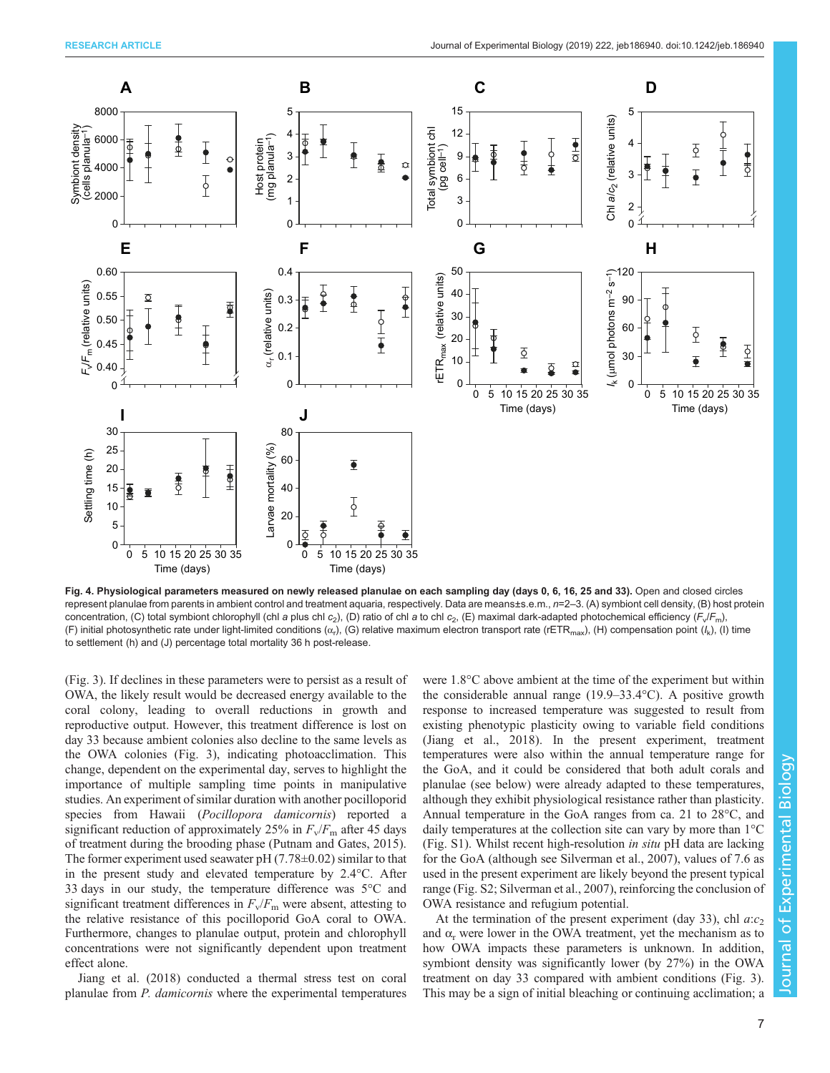<span id="page-6-0"></span>

Fig. 4. Physiological parameters measured on newly released planulae on each sampling day (days 0, 6, 16, 25 and 33). Open and closed circles represent planulae from parents in ambient control and treatment aquaria, respectively. Data are means±s.e.m., n=2–3. (A) symbiont cell density, (B) host protein concentration, (C) total symbiont chlorophyll (chl a plus chl c<sub>2</sub>), (D) ratio of chl a to chl c<sub>2</sub>, (E) maximal dark-adapted photochemical efficiency (F<sub>v</sub>/F<sub>m</sub>), (F) initial photosynthetic rate under light-limited conditions  $(\alpha_r)$ , (G) relative maximum electron transport rate (rETR<sub>max</sub>), (H) compensation point  $(l_k)$ , (I) time to settlement (h) and (J) percentage total mortality 36 h post-release.

[\(Fig. 3](#page-5-0)). If declines in these parameters were to persist as a result of OWA, the likely result would be decreased energy available to the coral colony, leading to overall reductions in growth and reproductive output. However, this treatment difference is lost on day 33 because ambient colonies also decline to the same levels as the OWA colonies ([Fig. 3\)](#page-5-0), indicating photoacclimation. This change, dependent on the experimental day, serves to highlight the importance of multiple sampling time points in manipulative studies. An experiment of similar duration with another pocilloporid species from Hawaii (Pocillopora damicornis) reported a significant reduction of approximately 25% in  $F_v/F_m$  after 45 days of treatment during the brooding phase [\(Putnam and Gates, 2015\)](#page-11-0). The former experiment used seawater pH  $(7.78\pm0.02)$  similar to that in the present study and elevated temperature by 2.4°C. After 33 days in our study, the temperature difference was 5°C and significant treatment differences in  $F_v/F_m$  were absent, attesting to the relative resistance of this pocilloporid GoA coral to OWA. Furthermore, changes to planulae output, protein and chlorophyll concentrations were not significantly dependent upon treatment effect alone.

[Jiang et al. \(2018\)](#page-10-0) conducted a thermal stress test on coral planulae from P. damicornis where the experimental temperatures were 1.8°C above ambient at the time of the experiment but within the considerable annual range (19.9–33.4°C). A positive growth response to increased temperature was suggested to result from existing phenotypic plasticity owing to variable field conditions [\(Jiang et al., 2018\)](#page-10-0). In the present experiment, treatment temperatures were also within the annual temperature range for the GoA, and it could be considered that both adult corals and planulae (see below) were already adapted to these temperatures, although they exhibit physiological resistance rather than plasticity. Annual temperature in the GoA ranges from ca. 21 to 28°C, and daily temperatures at the collection site can vary by more than 1°C [\(Fig. S1\)](http://jeb.biologists.org/lookup/doi/10.1242/jeb.186940.supplemental). Whilst recent high-resolution in situ pH data are lacking for the GoA (although see [Silverman et al., 2007\)](#page-11-0), values of 7.6 as used in the present experiment are likely beyond the present typical range ([Fig. S2](http://jeb.biologists.org/lookup/doi/10.1242/jeb.186940.supplemental); [Silverman et al., 2007\)](#page-11-0), reinforcing the conclusion of OWA resistance and refugium potential.

At the termination of the present experiment (day 33), chl  $a:c<sub>2</sub>$ and  $\alpha_r$  were lower in the OWA treatment, yet the mechanism as to how OWA impacts these parameters is unknown. In addition, symbiont density was significantly lower (by 27%) in the OWA treatment on day 33 compared with ambient conditions [\(Fig. 3\)](#page-5-0). This may be a sign of initial bleaching or continuing acclimation; a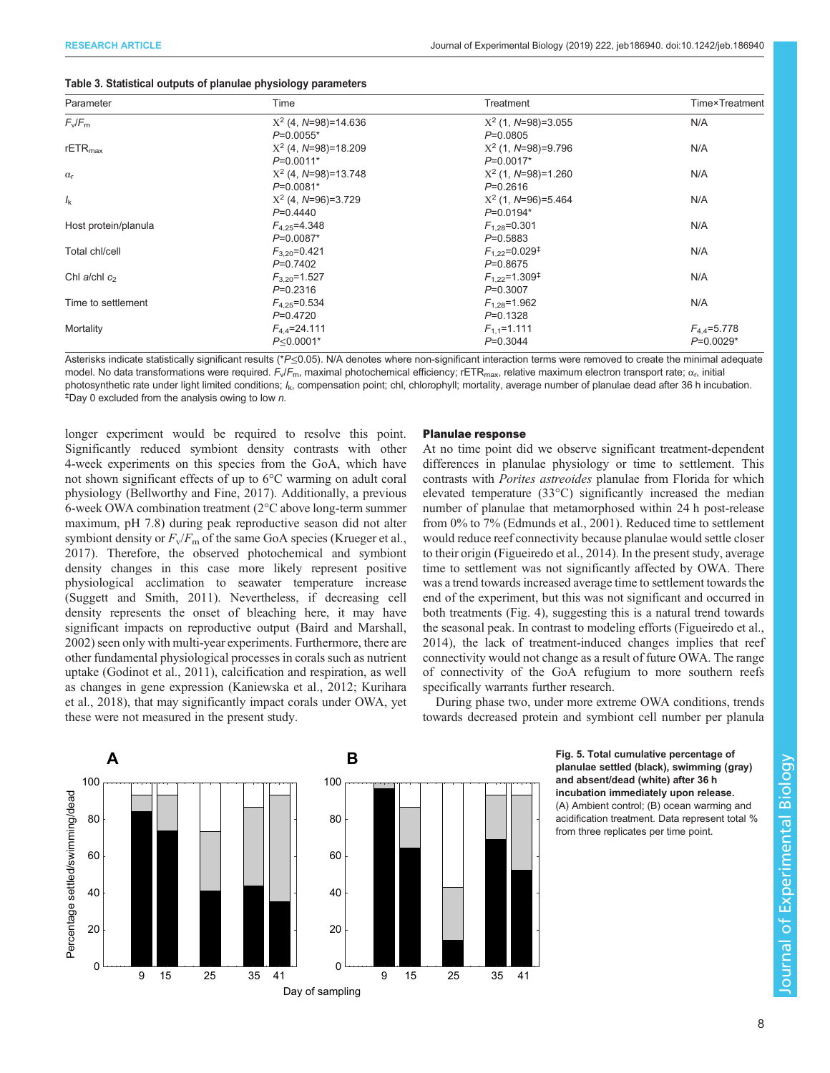| Parameter            | Time                   | Treatment                      | <b>Time</b> <sup>x</sup> Treatment |
|----------------------|------------------------|--------------------------------|------------------------------------|
| $F_v/F_m$            | $X^2$ (4, N=98)=14.636 | $X^2$ (1, N=98)=3.055          | N/A                                |
|                      | $P=0.0055*$            | $P=0.0805$                     |                                    |
| $rETR_{max}$         | $X^2$ (4, N=98)=18.209 | $X^2$ (1, N=98)=9.796          | N/A                                |
|                      | $P=0.0011*$            | $P=0.0017*$                    |                                    |
| $\alpha_{\rm r}$     | $X^2$ (4, N=98)=13.748 | $X^2$ (1, N=98)=1.260          | N/A                                |
|                      | $P=0.0081*$            | $P=0.2616$                     |                                    |
| $l_{\rm k}$          | $X^2$ (4, N=96)=3.729  | $X^2$ (1, N=96)=5.464          | N/A                                |
|                      | $P=0.4440$             | $P=0.0194*$                    |                                    |
| Host protein/planula | $F_{4.25} = 4.348$     | $F_{1,28} = 0.301$             | N/A                                |
|                      | $P=0.0087*$            | $P=0.5883$                     |                                    |
| Total chl/cell       | $F_{3,20} = 0.421$     | $F_{1,22}$ =0.029 <sup>‡</sup> | N/A                                |
|                      | $P=0.7402$             | $P=0.8675$                     |                                    |
| Chl a/chl $c_2$      | $F_{3,20}$ =1.527      | $F_{1,22} = 1.309^{\ddagger}$  | N/A                                |
|                      | $P=0.2316$             | $P=0.3007$                     |                                    |
| Time to settlement   | $F_{4.25} = 0.534$     | $F_{1,28} = 1.962$             | N/A                                |
|                      | $P=0.4720$             | $P=0.1328$                     |                                    |
| Mortality            | $F_{4.4} = 24.111$     | $F_{1,1}$ =1.111               | $F_{4.4} = 5.778$                  |
|                      | $P \le 0.0001*$        | $P=0.3044$                     | $P=0.0029*$                        |

<span id="page-7-0"></span>

Asterisks indicate statistically significant results (\*P≤0.05). N/A denotes where non-significant interaction terms were removed to create the minimal adequate model. No data transformations were required.  $F_v/F_m$ , maximal photochemical efficiency; rETR<sub>max</sub>, relative maximum electron transport rate;  $\alpha_r$ , initial photosynthetic rate under light limited conditions; I<sub>k</sub>, compensation point; chl, chlorophyll; mortality, average number of planulae dead after 36 h incubation.  $\overline{P}$ Day 0 excluded from the analysis owing to low n.

longer experiment would be required to resolve this point. Significantly reduced symbiont density contrasts with other 4-week experiments on this species from the GoA, which have not shown significant effects of up to 6°C warming on adult coral physiology [\(Bellworthy and Fine, 2017](#page-10-0)). Additionally, a previous 6-week OWA combination treatment (2°C above long-term summer maximum, pH 7.8) during peak reproductive season did not alter symbiont density or  $F_v/F_m$  of the same GoA species ([Krueger et al.,](#page-10-0) [2017](#page-10-0)). Therefore, the observed photochemical and symbiont density changes in this case more likely represent positive physiological acclimation to seawater temperature increase [\(Suggett and Smith, 2011\)](#page-11-0). Nevertheless, if decreasing cell density represents the onset of bleaching here, it may have significant impacts on reproductive output [\(Baird and Marshall,](#page-10-0) [2002](#page-10-0)) seen only with multi-year experiments. Furthermore, there are other fundamental physiological processes in corals such as nutrient uptake ([Godinot et al., 2011](#page-10-0)), calcification and respiration, as well as changes in gene expression ([Kaniewska et al., 2012; Kurihara](#page-10-0) [et al., 2018\)](#page-10-0), that may significantly impact corals under OWA, yet these were not measured in the present study.

# Planulae response

At no time point did we observe significant treatment-dependent differences in planulae physiology or time to settlement. This contrasts with Porites astreoides planulae from Florida for which elevated temperature (33°C) significantly increased the median number of planulae that metamorphosed within 24 h post-release from 0% to 7% ([Edmunds et al., 2001](#page-10-0)). Reduced time to settlement would reduce reef connectivity because planulae would settle closer to their origin ([Figueiredo et al., 2014](#page-10-0)). In the present study, average time to settlement was not significantly affected by OWA. There was a trend towards increased average time to settlement towards the end of the experiment, but this was not significant and occurred in both treatments ([Fig. 4](#page-6-0)), suggesting this is a natural trend towards the seasonal peak. In contrast to modeling efforts ([Figueiredo et al.,](#page-10-0) [2014\)](#page-10-0), the lack of treatment-induced changes implies that reef connectivity would not change as a result of future OWA. The range of connectivity of the GoA refugium to more southern reefs specifically warrants further research.

During phase two, under more extreme OWA conditions, trends towards decreased protein and symbiont cell number per planula





planulae settled (black), swimming (gray) and absent/dead (white) after 36 h incubation immediately upon release. (A) Ambient control; (B) ocean warming and acidification treatment. Data represent total % from three replicates per time point.

ournal of Experimental Biology Journal of Experimental Biology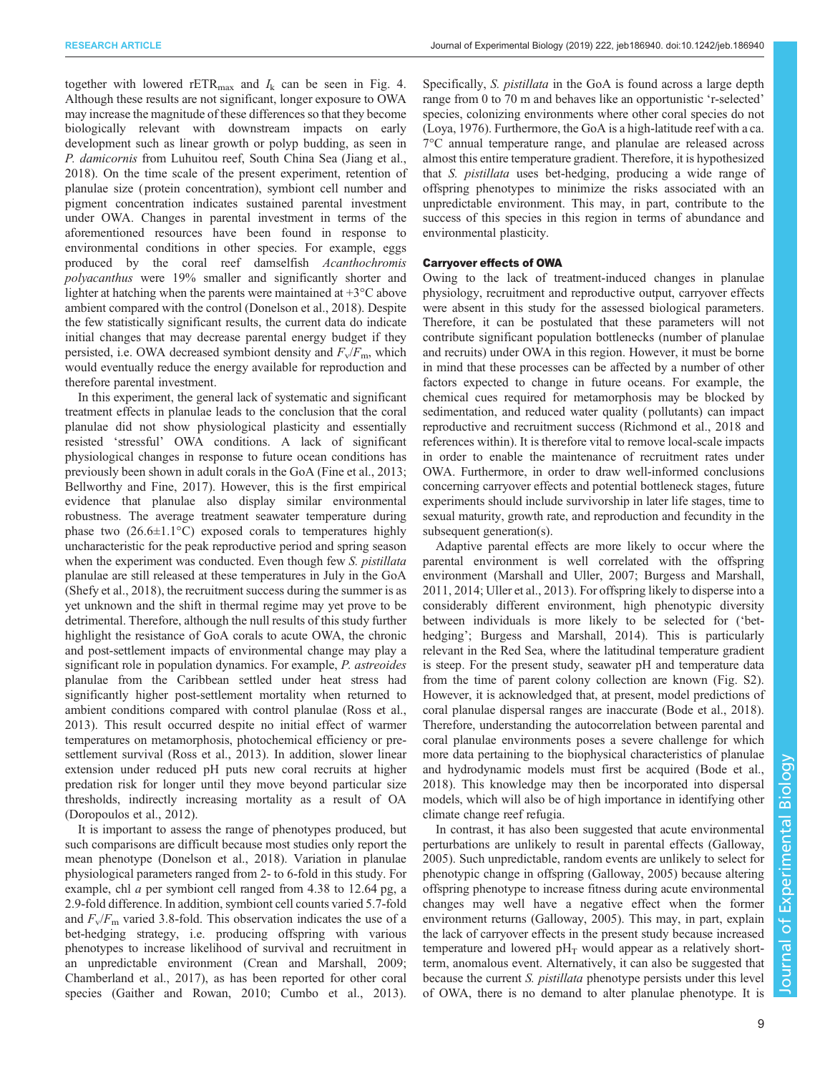together with lowered rETR<sub>max</sub> and  $I_k$  can be seen in [Fig. 4.](#page-6-0) Although these results are not significant, longer exposure to OWA may increase the magnitude of these differences so that they become biologically relevant with downstream impacts on early development such as linear growth or polyp budding, as seen in P. damicornis from Luhuitou reef, South China Sea [\(Jiang et al.,](#page-10-0) [2018](#page-10-0)). On the time scale of the present experiment, retention of planulae size ( protein concentration), symbiont cell number and pigment concentration indicates sustained parental investment under OWA. Changes in parental investment in terms of the aforementioned resources have been found in response to environmental conditions in other species. For example, eggs produced by the coral reef damselfish Acanthochromis polyacanthus were 19% smaller and significantly shorter and lighter at hatching when the parents were maintained at +3°C above ambient compared with the control ([Donelson et al., 2018\)](#page-10-0). Despite the few statistically significant results, the current data do indicate initial changes that may decrease parental energy budget if they persisted, i.e. OWA decreased symbiont density and  $F_v/F_m$ , which would eventually reduce the energy available for reproduction and therefore parental investment.

In this experiment, the general lack of systematic and significant treatment effects in planulae leads to the conclusion that the coral planulae did not show physiological plasticity and essentially resisted 'stressful' OWA conditions. A lack of significant physiological changes in response to future ocean conditions has previously been shown in adult corals in the GoA [\(Fine et al., 2013](#page-10-0); [Bellworthy and Fine, 2017\)](#page-10-0). However, this is the first empirical evidence that planulae also display similar environmental robustness. The average treatment seawater temperature during phase two  $(26.6 \pm 1.1^{\circ} \text{C})$  exposed corals to temperatures highly uncharacteristic for the peak reproductive period and spring season when the experiment was conducted. Even though few S. *pistillata* planulae are still released at these temperatures in July in the GoA [\(Shefy et al., 2018\)](#page-11-0), the recruitment success during the summer is as yet unknown and the shift in thermal regime may yet prove to be detrimental. Therefore, although the null results of this study further highlight the resistance of GoA corals to acute OWA, the chronic and post-settlement impacts of environmental change may play a significant role in population dynamics. For example, P. astreoides planulae from the Caribbean settled under heat stress had significantly higher post-settlement mortality when returned to ambient conditions compared with control planulae ([Ross et al.,](#page-11-0) [2013](#page-11-0)). This result occurred despite no initial effect of warmer temperatures on metamorphosis, photochemical efficiency or presettlement survival [\(Ross et al., 2013](#page-11-0)). In addition, slower linear extension under reduced pH puts new coral recruits at higher predation risk for longer until they move beyond particular size thresholds, indirectly increasing mortality as a result of OA [\(Doropoulos et al., 2012\)](#page-10-0).

It is important to assess the range of phenotypes produced, but such comparisons are difficult because most studies only report the mean phenotype ([Donelson et al., 2018\)](#page-10-0). Variation in planulae physiological parameters ranged from 2- to 6-fold in this study. For example, chl a per symbiont cell ranged from 4.38 to 12.64 pg, a 2.9-fold difference. In addition, symbiont cell counts varied 5.7-fold and  $F_v/F_m$  varied 3.8-fold. This observation indicates the use of a bet-hedging strategy, i.e. producing offspring with various phenotypes to increase likelihood of survival and recruitment in an unpredictable environment ([Crean and Marshall, 2009](#page-10-0); [Chamberland et al., 2017](#page-10-0)), as has been reported for other coral species ([Gaither and Rowan, 2010](#page-10-0); [Cumbo et al., 2013\)](#page-10-0).

Specifically, *S. pistillata* in the GoA is found across a large depth range from 0 to 70 m and behaves like an opportunistic 'r-selected' species, colonizing environments where other coral species do not [\(Loya, 1976\)](#page-10-0). Furthermore, the GoA is a high-latitude reef with a ca. 7°C annual temperature range, and planulae are released across almost this entire temperature gradient. Therefore, it is hypothesized that S. pistillata uses bet-hedging, producing a wide range of offspring phenotypes to minimize the risks associated with an unpredictable environment. This may, in part, contribute to the success of this species in this region in terms of abundance and environmental plasticity.

## Carryover effects of OWA

Owing to the lack of treatment-induced changes in planulae physiology, recruitment and reproductive output, carryover effects were absent in this study for the assessed biological parameters. Therefore, it can be postulated that these parameters will not contribute significant population bottlenecks (number of planulae and recruits) under OWA in this region. However, it must be borne in mind that these processes can be affected by a number of other factors expected to change in future oceans. For example, the chemical cues required for metamorphosis may be blocked by sedimentation, and reduced water quality ( pollutants) can impact reproductive and recruitment success [\(Richmond et al., 2018](#page-11-0) and references within). It is therefore vital to remove local-scale impacts in order to enable the maintenance of recruitment rates under OWA. Furthermore, in order to draw well-informed conclusions concerning carryover effects and potential bottleneck stages, future experiments should include survivorship in later life stages, time to sexual maturity, growth rate, and reproduction and fecundity in the subsequent generation(s).

Adaptive parental effects are more likely to occur where the parental environment is well correlated with the offspring environment [\(Marshall and Uller, 2007](#page-10-0); [Burgess and Marshall,](#page-10-0) [2011, 2014](#page-10-0); [Uller et al., 2013](#page-11-0)). For offspring likely to disperse into a considerably different environment, high phenotypic diversity between individuals is more likely to be selected for ('bet-hedging'; [Burgess and Marshall, 2014\)](#page-10-0). This is particularly relevant in the Red Sea, where the latitudinal temperature gradient is steep. For the present study, seawater pH and temperature data from the time of parent colony collection are known [\(Fig. S2\)](http://jeb.biologists.org/lookup/doi/10.1242/jeb.186940.supplemental). However, it is acknowledged that, at present, model predictions of coral planulae dispersal ranges are inaccurate ([Bode et al., 2018\)](#page-10-0). Therefore, understanding the autocorrelation between parental and coral planulae environments poses a severe challenge for which more data pertaining to the biophysical characteristics of planulae and hydrodynamic models must first be acquired ([Bode et al.,](#page-10-0) [2018\)](#page-10-0). This knowledge may then be incorporated into dispersal models, which will also be of high importance in identifying other climate change reef refugia.

In contrast, it has also been suggested that acute environmental perturbations are unlikely to result in parental effects ([Galloway,](#page-10-0) [2005\)](#page-10-0). Such unpredictable, random events are unlikely to select for phenotypic change in offspring ([Galloway, 2005\)](#page-10-0) because altering offspring phenotype to increase fitness during acute environmental changes may well have a negative effect when the former environment returns ([Galloway, 2005](#page-10-0)). This may, in part, explain the lack of carryover effects in the present study because increased temperature and lowered  $pH_T$  would appear as a relatively shortterm, anomalous event. Alternatively, it can also be suggested that because the current S. pistillata phenotype persists under this level of OWA, there is no demand to alter planulae phenotype. It is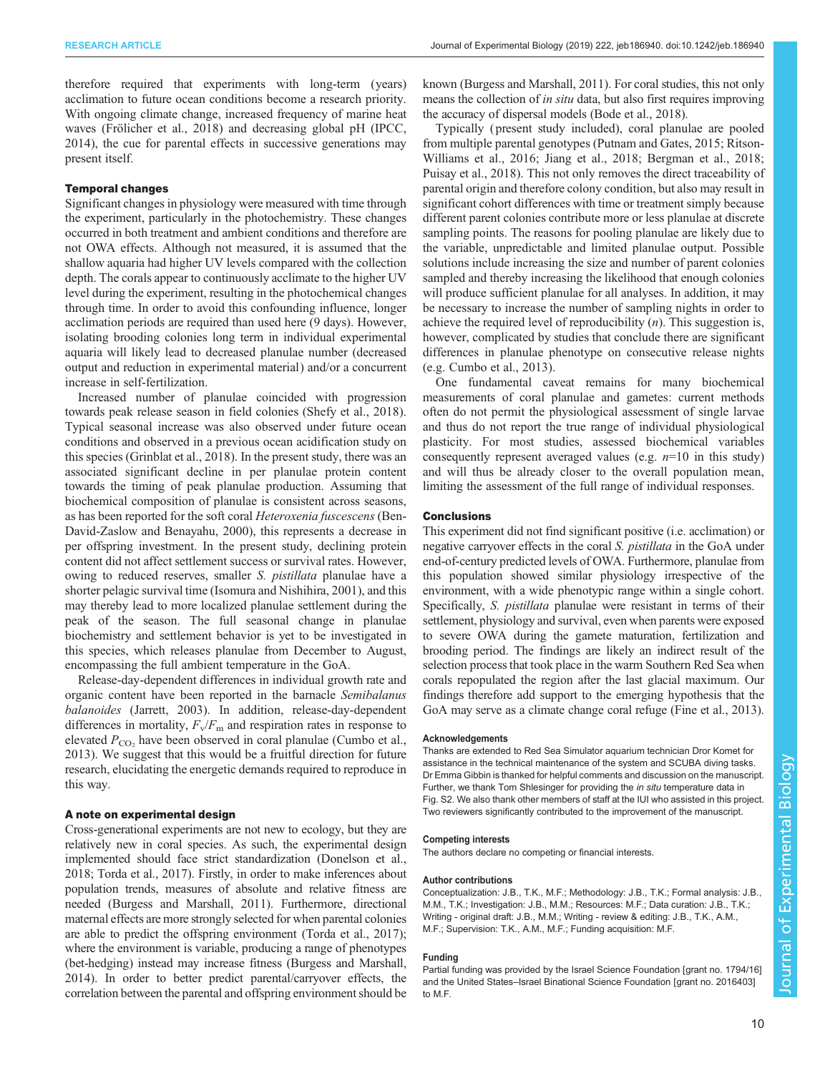therefore required that experiments with long-term (years) acclimation to future ocean conditions become a research priority. With ongoing climate change, increased frequency of marine heat waves [\(Frölicher et al., 2018\)](#page-10-0) and decreasing global pH ([IPCC,](#page-10-0) [2014](#page-10-0)), the cue for parental effects in successive generations may present itself.

## Temporal changes

Significant changes in physiology were measured with time through the experiment, particularly in the photochemistry. These changes occurred in both treatment and ambient conditions and therefore are not OWA effects. Although not measured, it is assumed that the shallow aquaria had higher UV levels compared with the collection depth. The corals appear to continuously acclimate to the higher UV level during the experiment, resulting in the photochemical changes through time. In order to avoid this confounding influence, longer acclimation periods are required than used here (9 days). However, isolating brooding colonies long term in individual experimental aquaria will likely lead to decreased planulae number (decreased output and reduction in experimental material) and/or a concurrent increase in self-fertilization.

Increased number of planulae coincided with progression towards peak release season in field colonies [\(Shefy et al., 2018\)](#page-11-0). Typical seasonal increase was also observed under future ocean conditions and observed in a previous ocean acidification study on this species ([Grinblat et al., 2018](#page-10-0)). In the present study, there was an associated significant decline in per planulae protein content towards the timing of peak planulae production. Assuming that biochemical composition of planulae is consistent across seasons, as has been reported for the soft coral Heteroxenia fuscescens ([Ben-](#page-10-0)[David-Zaslow and Benayahu, 2000\)](#page-10-0), this represents a decrease in per offspring investment. In the present study, declining protein content did not affect settlement success or survival rates. However, owing to reduced reserves, smaller S. pistillata planulae have a shorter pelagic survival time [\(Isomura and Nishihira, 2001\)](#page-10-0), and this may thereby lead to more localized planulae settlement during the peak of the season. The full seasonal change in planulae biochemistry and settlement behavior is yet to be investigated in this species, which releases planulae from December to August, encompassing the full ambient temperature in the GoA.

Release-day-dependent differences in individual growth rate and organic content have been reported in the barnacle Semibalanus balanoides ([Jarrett, 2003\)](#page-10-0). In addition, release-day-dependent differences in mortality,  $F_v/F_m$  and respiration rates in response to elevated  $P_{\text{CO}_2}$  have been observed in coral planulae [\(Cumbo et al.,](#page-10-0) [2013](#page-10-0)). We suggest that this would be a fruitful direction for future research, elucidating the energetic demands required to reproduce in this way.

# A note on experimental design

Cross-generational experiments are not new to ecology, but they are relatively new in coral species. As such, the experimental design implemented should face strict standardization ([Donelson et al.,](#page-10-0) [2018;](#page-10-0) [Torda et al., 2017](#page-11-0)). Firstly, in order to make inferences about population trends, measures of absolute and relative fitness are needed ([Burgess and Marshall, 2011](#page-10-0)). Furthermore, directional maternal effects are more strongly selected for when parental colonies are able to predict the offspring environment ([Torda et al., 2017](#page-11-0)); where the environment is variable, producing a range of phenotypes (bet-hedging) instead may increase fitness [\(Burgess and Marshall,](#page-10-0) [2014\)](#page-10-0). In order to better predict parental/carryover effects, the correlation between the parental and offspring environment should be

known [\(Burgess and Marshall, 2011\)](#page-10-0). For coral studies, this not only means the collection of *in situ* data, but also first requires improving the accuracy of dispersal models [\(Bode et al., 2018\)](#page-10-0).

Typically ( present study included), coral planulae are pooled from multiple parental genotypes ([Putnam and Gates, 2015; Ritson-](#page-11-0)[Williams et al., 2016](#page-11-0); [Jiang et al., 2018](#page-10-0); [Bergman et al., 2018](#page-10-0); [Puisay et al., 2018](#page-11-0)). This not only removes the direct traceability of parental origin and therefore colony condition, but also may result in significant cohort differences with time or treatment simply because different parent colonies contribute more or less planulae at discrete sampling points. The reasons for pooling planulae are likely due to the variable, unpredictable and limited planulae output. Possible solutions include increasing the size and number of parent colonies sampled and thereby increasing the likelihood that enough colonies will produce sufficient planulae for all analyses. In addition, it may be necessary to increase the number of sampling nights in order to achieve the required level of reproducibility  $(n)$ . This suggestion is, however, complicated by studies that conclude there are significant differences in planulae phenotype on consecutive release nights (e.g. [Cumbo et al., 2013\)](#page-10-0).

One fundamental caveat remains for many biochemical measurements of coral planulae and gametes: current methods often do not permit the physiological assessment of single larvae and thus do not report the true range of individual physiological plasticity. For most studies, assessed biochemical variables consequently represent averaged values (e.g.  $n=10$  in this study) and will thus be already closer to the overall population mean, limiting the assessment of the full range of individual responses.

### Conclusions

This experiment did not find significant positive (i.e. acclimation) or negative carryover effects in the coral *S. pistillata* in the GoA under end-of-century predicted levels of OWA. Furthermore, planulae from this population showed similar physiology irrespective of the environment, with a wide phenotypic range within a single cohort. Specifically, S. pistillata planulae were resistant in terms of their settlement, physiology and survival, even when parents were exposed to severe OWA during the gamete maturation, fertilization and brooding period. The findings are likely an indirect result of the selection process that took place in the warm Southern Red Sea when corals repopulated the region after the last glacial maximum. Our findings therefore add support to the emerging hypothesis that the GoA may serve as a climate change coral refuge ([Fine et al., 2013\)](#page-10-0).

#### Acknowledgements

Thanks are extended to Red Sea Simulator aquarium technician Dror Komet for assistance in the technical maintenance of the system and SCUBA diving tasks. Dr Emma Gibbin is thanked for helpful comments and discussion on the manuscript. Further, we thank Tom Shlesinger for providing the *in situ* temperature data in [Fig. S2.](http://jeb.biologists.org/lookup/doi/10.1242/jeb.186940.supplemental) We also thank other members of staff at the IUI who assisted in this project. Two reviewers significantly contributed to the improvement of the manuscript.

# Competing interests

The authors declare no competing or financial interests.

#### Author contributions

Conceptualization: J.B., T.K., M.F.; Methodology: J.B., T.K.; Formal analysis: J.B., M.M., T.K.; Investigation: J.B., M.M.; Resources: M.F.; Data curation: J.B., T.K.; Writing - original draft: J.B., M.M.; Writing - review & editing: J.B., T.K., A.M., M.F.; Supervision: T.K., A.M., M.F.; Funding acquisition: M.F.

#### Funding

Partial funding was provided by the Israel Science Foundation [grant no. 1794/16] and the United States–Israel Binational Science Foundation [grant no. 2016403] to M.F.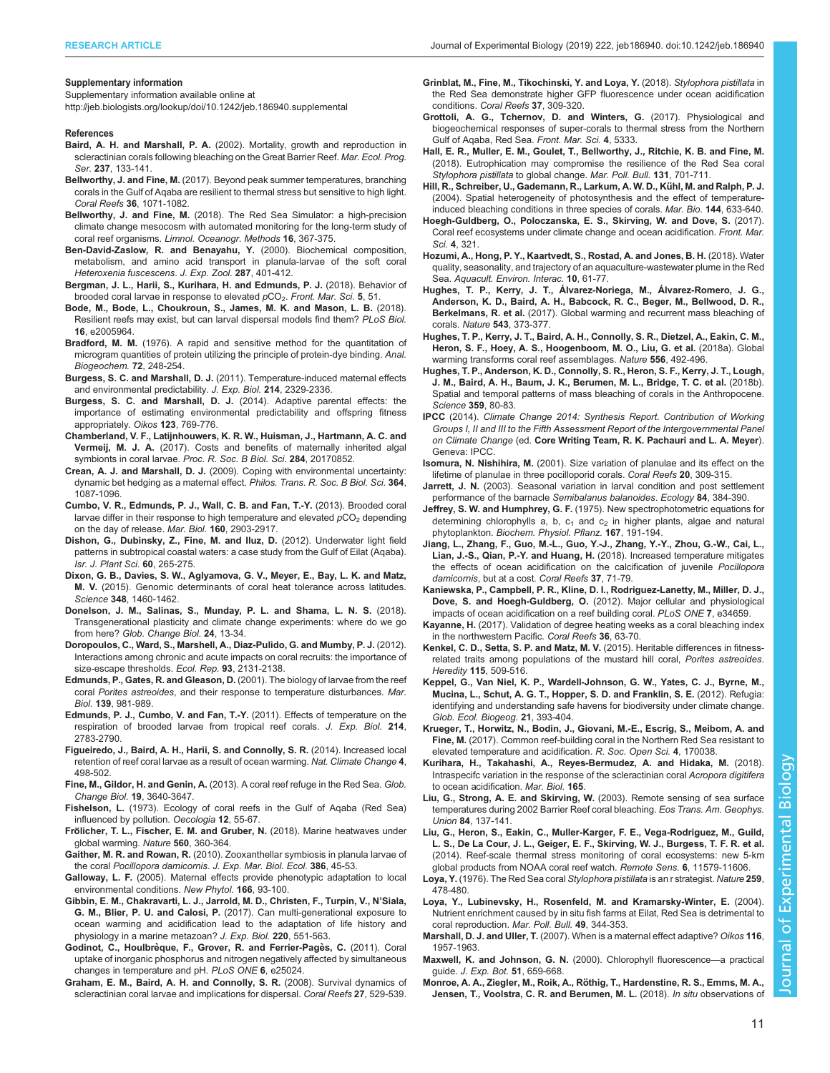#### <span id="page-10-0"></span>Supplementary information

Supplementary information available online at <http://jeb.biologists.org/lookup/doi/10.1242/jeb.186940.supplemental>

#### References

- Baird, A. H. and Marshall, P. A. [\(2002\). Mortality, growth and reproduction in](https://doi.org/10.3354/meps237133) [scleractinian corals following bleaching on the Great Barrier Reef.](https://doi.org/10.3354/meps237133) Mar. Ecol. Prog. Ser. 237[, 133-141.](https://doi.org/10.3354/meps237133)
- Bellworthy, J. and Fine, M. [\(2017\). Beyond peak summer temperatures, branching](https://doi.org/10.1007/s00338-017-1598-1) [corals in the Gulf of Aqaba are resilient to thermal stress but sensitive to high light.](https://doi.org/10.1007/s00338-017-1598-1) Coral Reefs 36[, 1071-1082.](https://doi.org/10.1007/s00338-017-1598-1)
- Bellworthy, J. and Fine, M. [\(2018\). The Red Sea Simulator: a high-precision](https://doi.org/10.1002/lom3.10250) [climate change mesocosm with automated monitoring for the long-term study of](https://doi.org/10.1002/lom3.10250) coral reef organisms. [Limnol. Oceanogr. Methods](https://doi.org/10.1002/lom3.10250) 16, 367-375.
- [Ben-David-Zaslow, R. and Benayahu, Y.](https://doi.org/10.1002/1097-010X(20001101)287:6%3C401::AID-JEZ1%3E3.0.CO;2-4) (2000). Biochemical composition, [metabolism, and amino acid transport in planula-larvae of the soft coral](https://doi.org/10.1002/1097-010X(20001101)287:6%3C401::AID-JEZ1%3E3.0.CO;2-4) [Heteroxenia fuscescens](https://doi.org/10.1002/1097-010X(20001101)287:6%3C401::AID-JEZ1%3E3.0.CO;2-4). J. Exp. Zool. 287, 401-412.
- [Bergman, J. L., Harii, S., Kurihara, H. and Edmunds, P. J.](https://doi.org/10.3389/fmars.2018.00051) (2018). Behavior of [brooded coral larvae in response to elevated](https://doi.org/10.3389/fmars.2018.00051)  $pCO_2$ . [Front. Mar. Sci.](https://doi.org/10.3389/fmars.2018.00051) 5, 51.
- [Bode, M., Bode, L., Choukroun, S., James, M. K. and Mason, L. B.](https://doi.org/10.1371/journal.pbio.2005964) (2018). [Resilient reefs may exist, but can larval dispersal models find them?](https://doi.org/10.1371/journal.pbio.2005964) PLoS Biol. 16[, e2005964.](https://doi.org/10.1371/journal.pbio.2005964)
- Bradford, M. M. [\(1976\). A rapid and sensitive method for the quantitation of](https://doi.org/10.1016/0003-2697(76)90527-3) [microgram quantities of protein utilizing the principle of protein-dye binding.](https://doi.org/10.1016/0003-2697(76)90527-3) Anal. [Biogeochem.](https://doi.org/10.1016/0003-2697(76)90527-3) 72, 248-254.
- Burgess, S. C. and Marshall, D. J. [\(2011\). Temperature-induced maternal effects](https://doi.org/10.1242/jeb.054718) [and environmental predictability.](https://doi.org/10.1242/jeb.054718) J. Exp. Biol. 214, 2329-2336.
- [Burgess, S. C. and Marshall, D. J.](https://doi.org/10.1111/oik.01235) (2014). Adaptive parental effects: the [importance of estimating environmental predictability and offspring fitness](https://doi.org/10.1111/oik.01235) [appropriately.](https://doi.org/10.1111/oik.01235) Oikos 123, 769-776.
- [Chamberland, V. F., Latijnhouwers, K. R. W., Huisman, J., Hartmann, A. C. and](https://doi.org/10.1098/rspb.2017.0852) Vermeij. M. J. A. [\(2017\). Costs and benefits of maternally inherited algal](https://doi.org/10.1098/rspb.2017.0852) [symbionts in coral larvae.](https://doi.org/10.1098/rspb.2017.0852) Proc. R. Soc. B Biol. Sci. 284, 20170852.
- Crean, A. J. and Marshall, D. J. [\(2009\). Coping with environmental uncertainty:](https://doi.org/10.1098/rstb.2008.0237) [dynamic bet hedging as a maternal effect.](https://doi.org/10.1098/rstb.2008.0237) Philos. Trans. R. Soc. B Biol. Sci. 364, [1087-1096.](https://doi.org/10.1098/rstb.2008.0237)
- [Cumbo, V. R., Edmunds, P. J., Wall, C. B. and Fan, T.-Y.](https://doi.org/10.1007/s00227-013-2280-y) (2013). Brooded coral [larvae differ in their response to high temperature and elevated](https://doi.org/10.1007/s00227-013-2280-y)  $pCO<sub>2</sub>$  [depending](https://doi.org/10.1007/s00227-013-2280-y) [on the day of release.](https://doi.org/10.1007/s00227-013-2280-y) Mar. Biol. 160, 2903-2917.
- [Dishon, G., Dubinsky, Z., Fine, M. and Iluz, D.](https://doi.org/10.1560/IJPS.60.1-2.265) (2012). Underwater light field [patterns in subtropical coastal waters: a case study from the Gulf of Eilat \(Aqaba\).](https://doi.org/10.1560/IJPS.60.1-2.265) [Isr. J. Plant Sci.](https://doi.org/10.1560/IJPS.60.1-2.265) 60, 265-275.
- [Dixon, G. B., Davies, S. W., Aglyamova, G. V., Meyer, E., Bay, L. K. and Matz,](https://doi.org/10.1126/science.1261224) M. V. [\(2015\). Genomic determinants of coral heat tolerance across latitudes.](https://doi.org/10.1126/science.1261224) Science 348[, 1460-1462.](https://doi.org/10.1126/science.1261224)
- [Donelson, J. M., Salinas, S., Munday, P. L. and Shama, L. N. S.](https://doi.org/10.1111/gcb.13903) (2018). [Transgenerational plasticity and climate change experiments: where do we go](https://doi.org/10.1111/gcb.13903) from here? [Glob. Change Biol.](https://doi.org/10.1111/gcb.13903) 24, 13-34.
- [Doropoulos, C., Ward, S., Marshell, A., Diaz-Pulido, G. and Mumby, P. J.](https://doi.org/10.1890/12-0495.1) (2012). [Interactions among chronic and acute impacts on coral recruits: the importance of](https://doi.org/10.1890/12-0495.1) [size-escape thresholds.](https://doi.org/10.1890/12-0495.1) Ecol. Rep. 93, 2131-2138.
- [Edmunds, P., Gates, R. and Gleason, D.](https://doi.org/10.1007/s002270100634) (2001). The biology of larvae from the reef coral Porites astreoides[, and their response to temperature disturbances](https://doi.org/10.1007/s002270100634). Mar. Biol. 139[, 981-989.](https://doi.org/10.1007/s002270100634)
- [Edmunds, P. J., Cumbo, V. and Fan, T.-Y.](https://doi.org/10.1242/jeb.055343) (2011). Effects of temperature on the [respiration of brooded larvae from tropical reef corals.](https://doi.org/10.1242/jeb.055343) J. Exp. Biol. 214, [2783-2790.](https://doi.org/10.1242/jeb.055343)
- [Figueiredo, J., Baird, A. H., Harii, S. and Connolly, S. R.](https://doi.org/10.1038/nclimate2210) (2014). Increased local [retention of reef coral larvae as a result of ocean warming.](https://doi.org/10.1038/nclimate2210) Nat. Climate Change 4, [498-502.](https://doi.org/10.1038/nclimate2210)
- Fine, M., Gildor, H. and Genin, A. [\(2013\). A coral reef refuge in the Red Sea.](https://doi.org/10.1111/gcb.12356) Glob. [Change Biol.](https://doi.org/10.1111/gcb.12356) 19, 3640-3647.
- Fishelson, L. [\(1973\). Ecology of coral reefs in the Gulf of Aqaba \(Red Sea\)](https://doi.org/10.1007/BF00345470) [influenced by pollution.](https://doi.org/10.1007/BF00345470) Oecologia 12, 55-67.
- Frö[licher, T. L., Fischer, E. M. and Gruber, N.](https://doi.org/10.1038/s41586-018-0383-9) (2018). Marine heatwaves under [global warming.](https://doi.org/10.1038/s41586-018-0383-9) Nature 560, 360-364.
- Gaither, M. R. and Rowan, R. [\(2010\). Zooxanthellar symbiosis in planula larvae of](https://doi.org/10.1016/j.jembe.2010.02.003) the coral Pocillopora damicornis. [J. Exp. Mar. Biol. Ecol.](https://doi.org/10.1016/j.jembe.2010.02.003) 386, 45-53.
- Galloway, L. F. [\(2005\). Maternal effects provide phenotypic adaptation to local](https://doi.org/10.1111/j.1469-8137.2004.01314.x) [environmental conditions.](https://doi.org/10.1111/j.1469-8137.2004.01314.x) New Phytol. 166, 93-100.
- [Gibbin, E. M., Chakravarti, L. J., Jarrold, M. D., Christen, F., Turpin, V., N](https://doi.org/10.1242/jeb.149989)'Siala, G. M., Blier, P. U. and Calosi, P. [\(2017\). Can multi-generational exposure to](https://doi.org/10.1242/jeb.149989) [ocean warming and acidification lead to the adaptation of life history and](https://doi.org/10.1242/jeb.149989) [physiology in a marine metazoan?](https://doi.org/10.1242/jeb.149989) J. Exp. Biol. 220, 551-563.
- Godinot, C., Houlbrèque, F., Grover, R. and Ferrier-Pagès, C. (2011). Coral [uptake of inorganic phosphorus and nitrogen negatively affected by simultaneous](https://doi.org/10.1371/journal.pone.0025024) [changes in temperature and pH.](https://doi.org/10.1371/journal.pone.0025024) PLoS ONE 6, e25024.
- [Graham, E. M., Baird, A. H. and Connolly, S. R.](https://doi.org/10.1007/s00338-008-0361-z) (2008). Survival dynamics of [scleractinian coral larvae and implications for dispersal.](https://doi.org/10.1007/s00338-008-0361-z) Coral Reefs 27, 529-539.
- [Grinblat, M., Fine, M., Tikochinski, Y. and Loya, Y.](https://doi.org/10.1007/s00338-018-1659-0) (2018). Stylophora pistillata in [the Red Sea demonstrate higher GFP fluorescence under ocean acidification](https://doi.org/10.1007/s00338-018-1659-0) conditions. [Coral Reefs](https://doi.org/10.1007/s00338-018-1659-0) 37, 309-320.
- [Grottoli, A. G., Tchernov, D. and Winters, G.](https://doi.org/10.3389/fmars.2017.00215) (2017). Physiological and [biogeochemical responses of super-corals to thermal stress from the Northern](https://doi.org/10.3389/fmars.2017.00215) [Gulf of Aqaba, Red Sea.](https://doi.org/10.3389/fmars.2017.00215) Front. Mar. Sci. 4, 5333.
- [Hall, E. R., Muller, E. M., Goulet, T., Bellworthy, J., Ritchie, K. B. and Fine, M.](https://doi.org/10.1016/j.marpolbul.2018.04.067) [\(2018\). Eutrophication may compromise the resilience of the Red Sea coral](https://doi.org/10.1016/j.marpolbul.2018.04.067) [Stylophora pistillata](https://doi.org/10.1016/j.marpolbul.2018.04.067) to global change. Mar. Poll. Bull. 131, 701-711.
- [Hill, R., Schreiber, U., Gademann, R., Larkum, A. W. D., Ku](https://doi.org/10.1007/s00227-003-1226-1)̈hl, M. and Ralph, P. J. [\(2004\). Spatial heterogeneity of photosynthesis and the effect of temperature](https://doi.org/10.1007/s00227-003-1226-1)[induced bleaching conditions in three species of corals.](https://doi.org/10.1007/s00227-003-1226-1) Mar. Bio. 144, 633-640.
- [Hoegh-Guldberg, O., Poloczanska, E. S., Skirving, W. and Dove, S.](https://doi.org/10.3389/fmars.2017.00158) (2017). [Coral reef ecosystems under climate change and ocean acidification.](https://doi.org/10.3389/fmars.2017.00158) Front. Mar. Sci. 4[, 321.](https://doi.org/10.3389/fmars.2017.00158)
- [Hozumi, A., Hong, P. Y., Kaartvedt, S., Rostad, A. and Jones, B. H.](https://doi.org/10.3354/aei00254) (2018). Water [quality, seasonality, and trajectory of an aquaculture-wastewater plume in the Red](https://doi.org/10.3354/aei00254) Sea. [Aquacult. Environ. Interac.](https://doi.org/10.3354/aei00254) 10, 61-77.
- [Hughes, T. P., Kerry, J. T., Álvarez-Noriega, M., Álvarez-Romero, J. G.,](https://doi.org/10.1038/nature21707) [Anderson, K. D., Baird, A. H., Babcock, R. C., Beger, M., Bellwood, D. R.,](https://doi.org/10.1038/nature21707) Berkelmans, R. et al. [\(2017\). Global warming and recurrent mass bleaching of](https://doi.org/10.1038/nature21707) corals. Nature 543[, 373-377.](https://doi.org/10.1038/nature21707)
- [Hughes, T. P., Kerry, J. T., Baird, A. H., Connolly, S. R., Dietzel, A., Eakin, C. M.,](https://doi.org/10.1038/s41586-018-0041-2) [Heron, S. F., Hoey, A. S., Hoogenboom, M. O., Liu, G. et al.](https://doi.org/10.1038/s41586-018-0041-2) (2018a). Global [warming transforms coral reef assemblages.](https://doi.org/10.1038/s41586-018-0041-2) Nature 556, 492-496.
- [Hughes, T. P., Anderson, K. D., Connolly, S. R., Heron, S. F., Kerry, J. T., Lough,](https://doi.org/10.1126/science.aan8048) [J. M., Baird, A. H., Baum, J. K., Berumen, M. L., Bridge, T. C. et al.](https://doi.org/10.1126/science.aan8048) (2018b). [Spatial and temporal patterns of mass bleaching of corals in the Anthropocene.](https://doi.org/10.1126/science.aan8048) [Science](https://doi.org/10.1126/science.aan8048) 359, 80-83.
- IPCC (2014). Climate Change 2014: Synthesis Report. Contribution of Working Groups I, II and III to the Fifth Assessment Report of the Intergovernmental Panel on Climate Change (ed. Core Writing Team, R. K. Pachauri and L. A. Meyer). Geneva: IPCC.
- Isomura, N. Nishihira, M. [\(2001\). Size variation of planulae and its effect on the](https://doi.org/10.1007/s003380100180) [lifetime of planulae in three pocilloporid corals.](https://doi.org/10.1007/s003380100180) Coral Reefs 20, 309-315.
- Jarrett, J. N. [\(2003\). Seasonal variation in larval condition and post settlement](https://doi.org/10.1890/0012-9658(2003)084[0384:SVILCA]2.0.CO;2) [performance of the barnacle](https://doi.org/10.1890/0012-9658(2003)084[0384:SVILCA]2.0.CO;2) Semibalanus balanoides. Ecology 84, 384-390.
- Jeffrey, S. W. and Humphrey, G. F. [\(1975\). New spectrophotometric equations for](https://doi.org/10.1016/S0015-3796(17)30778-3) determining chlorophylls a, b,  $c_1$  and  $c_2$  [in higher plants, algae and natural](https://doi.org/10.1016/S0015-3796(17)30778-3) phytoplankton. [Biochem. Physiol. Pflanz.](https://doi.org/10.1016/S0015-3796(17)30778-3) 167, 191-194.
- [Jiang, L., Zhang, F., Guo, M.-L., Guo, Y.-J., Zhang, Y.-Y., Zhou, G.-W., Cai, L.,](https://doi.org/10.1007/s00338-017-1634-1) Lian, J.-S., Qian, P.-Y. and Huang, H. [\(2018\). Increased temperature mitigates](https://doi.org/10.1007/s00338-017-1634-1) [the effects of ocean acidification on the calcification of juvenile](https://doi.org/10.1007/s00338-017-1634-1) Pocillopora damicornis[, but at a cost.](https://doi.org/10.1007/s00338-017-1634-1) Coral Reefs 37, 71-79.
- [Kaniewska, P., Campbell, P. R., Kline, D. I., Rodriguez-Lanetty, M., Miller, D. J.,](https://doi.org/10.1371/journal.pone.0034659) Dove, S. and Hoegh-Guldberg, O. [\(2012\). Major cellular and physiological](https://doi.org/10.1371/journal.pone.0034659) [impacts of ocean acidification on a reef building coral.](https://doi.org/10.1371/journal.pone.0034659) PLoS ONE 7, e34659.
- Kayanne, H. [\(2017\). Validation of degree heating weeks as a coral bleaching index](https://doi.org/10.1007/s00338-016-1524-y) [in the northwestern Pacific.](https://doi.org/10.1007/s00338-016-1524-y) Coral Reefs 36, 63-70.
- [Kenkel, C. D., Setta, S. P. and Matz, M. V.](https://doi.org/10.1038/hdy.2015.52) (2015). Heritable differences in fitness[related traits among populations of the mustard hill coral,](https://doi.org/10.1038/hdy.2015.52) Porites astreoides. Heredity 115[, 509-516.](https://doi.org/10.1038/hdy.2015.52)
- [Keppel, G., Van Niel, K. P., Wardell-Johnson, G. W., Yates, C. J., Byrne, M.,](https://doi.org/10.1111/j.1466-8238.2011.00686.x) [Mucina, L., Schut, A. G. T., Hopper, S. D. and Franklin, S. E.](https://doi.org/10.1111/j.1466-8238.2011.00686.x) (2012). Refugia: [identifying and understanding safe havens for biodiversity under climate change.](https://doi.org/10.1111/j.1466-8238.2011.00686.x) [Glob. Ecol. Biogeog.](https://doi.org/10.1111/j.1466-8238.2011.00686.x) 21, 393-404.
- [Krueger, T., Horwitz, N., Bodin, J., Giovani, M.-E., Escrig, S., Meibom, A. and](https://doi.org/10.1098/rsos.170038) Fine, M. [\(2017\). Common reef-building coral in the Northern Red Sea resistant to](https://doi.org/10.1098/rsos.170038) [elevated temperature and acidification.](https://doi.org/10.1098/rsos.170038) R. Soc. Open Sci. 4, 170038.
- [Kurihara, H., Takahashi, A., Reyes-Bermudez, A. and Hidaka, M.](https://doi.org/10.1007%2Fs00227-018-3295-1) (2018). [Intraspecifc variation in the response of the scleractinian coral](https://doi.org/10.1007%2Fs00227-018-3295-1) Acropora digitifera [to ocean acidification.](https://doi.org/10.1007%2Fs00227-018-3295-1) Mar. Biol. 165.
- [Liu, G., Strong, A. E. and Skirving, W.](https://doi.org/10.1029/2003EO150001) (2003). Remote sensing of sea surface [temperatures during 2002 Barrier Reef coral bleaching.](https://doi.org/10.1029/2003EO150001) Eos Trans. Am. Geophys. Union 84[, 137-141.](https://doi.org/10.1029/2003EO150001)
- [Liu, G., Heron, S., Eakin, C., Muller-Karger, F. E., Vega-Rodriguez, M., Guild,](https://doi.org/10.3390/rs61111579) [L. S., De La Cour, J. L., Geiger, E. F., Skirving, W. J., Burgess, T. F. R. et al.](https://doi.org/10.3390/rs61111579) [\(2014\). Reef-scale thermal stress monitoring of coral ecosystems: new 5-km](https://doi.org/10.3390/rs61111579) [global products from NOAA coral reef watch.](https://doi.org/10.3390/rs61111579) Remote Sens. 6, 11579-11606.

Loya, Y. [\(1976\). The Red Sea coral](https://doi.org/10.1038/259478a0) Stylophora pistillata is an r strategist. Nature 259, [478-480.](https://doi.org/10.1038/259478a0)

- [Loya, Y., Lubinevsky, H., Rosenfeld, M. and Kramarsky-Winter, E.](https://doi.org/10.1016/j.marpolbul.2004.06.011) (2004). [Nutrient enrichment caused by in situ fish farms at Eilat, Red Sea is detrimental to](https://doi.org/10.1016/j.marpolbul.2004.06.011) [coral reproduction.](https://doi.org/10.1016/j.marpolbul.2004.06.011) Mar. Poll. Bull. 49, 344-353.
- Marshall, D. J. and Uller, T. [\(2007\). When is a maternal effect adaptive?](https://doi.org/10.1111/j.2007.0030-1299.16203.x) Oikos 116, [1957-1963.](https://doi.org/10.1111/j.2007.0030-1299.16203.x)
- [Maxwell, K. and Johnson, G. N.](https://doi.org/10.1093/jexbot/51.345.659) (2000). Chlorophyll fluorescence—a practical guide. [J. Exp. Bot.](https://doi.org/10.1093/jexbot/51.345.659) 51, 659-668.
- Monroe, A. A., Ziegler, M., Roik, A., Rö[thig, T., Hardenstine, R. S., Emms, M. A.,](https://doi.org/10.1371/journal.pone.0195814) [Jensen, T., Voolstra, C. R. and Berumen, M. L.](https://doi.org/10.1371/journal.pone.0195814) (2018). In situ observations of